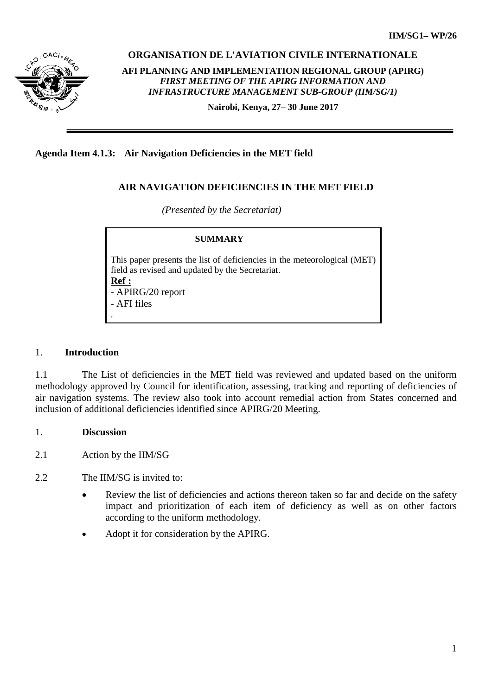

**ORGANISATION DE L'AVIATION CIVILE INTERNATIONALE** 

**AFI PLANNING AND IMPLEMENTATION REGIONAL GROUP (APIRG)** *FIRST MEETING OF THE APIRG INFORMATION AND INFRASTRUCTURE MANAGEMENT SUB-GROUP (IIM/SG/1)*

**Nairobi, Kenya, 27– 30 June 2017**

**Agenda Item 4.1.3: Air Navigation Deficiencies in the MET field**

# **AIR NAVIGATION DEFICIENCIES IN THE MET FIELD**

*(Presented by the Secretariat)*

# **SUMMARY** This paper presents the list of deficiencies in the meteorological (MET) field as revised and updated by the Secretariat. **Ref :** - APIRG/20 report - AFI files .

## 1. **Introduction**

1.1 The List of deficiencies in the MET field was reviewed and updated based on the uniform methodology approved by Council for identification, assessing, tracking and reporting of deficiencies of air navigation systems. The review also took into account remedial action from States concerned and inclusion of additional deficiencies identified since APIRG/20 Meeting.

## 1. **Discussion**

2.1 Action by the IIM/SG

2.2 The IIM/SG is invited to:

- Review the list of deficiencies and actions thereon taken so far and decide on the safety impact and prioritization of each item of deficiency as well as on other factors according to the uniform methodology.
- Adopt it for consideration by the APIRG.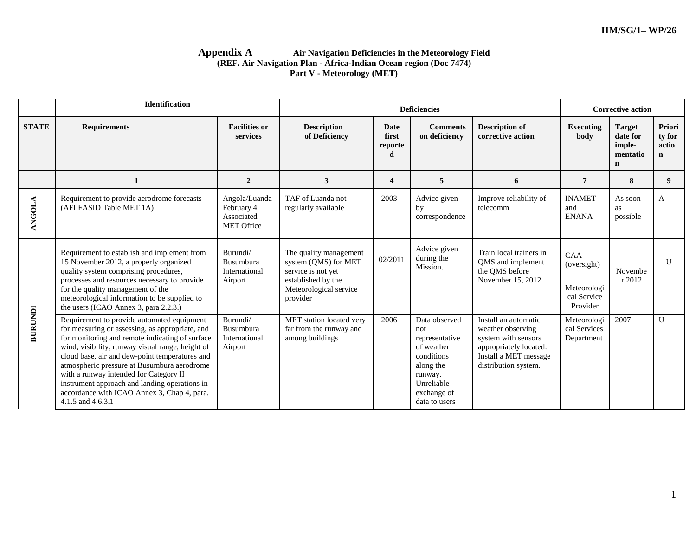#### **Appendix A Air Navigation Deficiencies in the Meteorology Field (REF. Air Navigation Plan - Africa-Indian Ocean region (Doc 7474) Part V - Meteorology (MET)**

|                | Identification                                                                                                                                                                                                                                                                                                                                                                                                                                                       |                                                                |                                                                                                                                  |                               | <b>Deficiencies</b>                                                                                                                      |                                                                                                                                             | <b>Corrective action</b>                                     |                                                                |                                          |
|----------------|----------------------------------------------------------------------------------------------------------------------------------------------------------------------------------------------------------------------------------------------------------------------------------------------------------------------------------------------------------------------------------------------------------------------------------------------------------------------|----------------------------------------------------------------|----------------------------------------------------------------------------------------------------------------------------------|-------------------------------|------------------------------------------------------------------------------------------------------------------------------------------|---------------------------------------------------------------------------------------------------------------------------------------------|--------------------------------------------------------------|----------------------------------------------------------------|------------------------------------------|
| <b>STATE</b>   | <b>Requirements</b>                                                                                                                                                                                                                                                                                                                                                                                                                                                  | <b>Facilities or</b><br>services                               | <b>Description</b><br>of Deficiency                                                                                              | Date<br>first<br>reporte<br>d | <b>Comments</b><br>on deficiency                                                                                                         | <b>Description of</b><br>corrective action                                                                                                  | <b>Executing</b><br>body                                     | <b>Target</b><br>date for<br>imple-<br>mentatio<br>$\mathbf n$ | Priori<br>ty for<br>actio<br>$\mathbf n$ |
|                | 1                                                                                                                                                                                                                                                                                                                                                                                                                                                                    | $\overline{2}$                                                 | $\mathbf{3}$                                                                                                                     | $\overline{\mathbf{4}}$       | 5                                                                                                                                        | 6                                                                                                                                           | 7                                                            | 8                                                              | 9                                        |
| <b>ANGOLA</b>  | Requirement to provide aerodrome forecasts<br>(AFI FASID Table MET 1A)                                                                                                                                                                                                                                                                                                                                                                                               | Angola/Luanda<br>February 4<br>Associated<br><b>MET Office</b> | TAF of Luanda not<br>regularly available                                                                                         | 2003                          | Advice given<br>by<br>correspondence                                                                                                     | Improve reliability of<br>telecomm                                                                                                          | <b>INAMET</b><br>and<br><b>ENANA</b>                         | As soon<br><b>as</b><br>possible                               | A                                        |
|                | Requirement to establish and implement from<br>15 November 2012, a properly organized<br>quality system comprising procedures,<br>processes and resources necessary to provide<br>for the quality management of the<br>meteorological information to be supplied to<br>the users (ICAO Annex 3, para 2.2.3.)                                                                                                                                                         | Burundi/<br>Busumbura<br>International<br>Airport              | The quality management<br>system (QMS) for MET<br>service is not yet<br>established by the<br>Meteorological service<br>provider | 02/2011                       | Advice given<br>during the<br>Mission.                                                                                                   | Train local trainers in<br>QMS and implement<br>the QMS before<br>November 15, 2012                                                         | CAA<br>(oversight)<br>Meteorologi<br>cal Service<br>Provider | Novembe<br>r 2012                                              | $\mathbf{U}$                             |
| <b>BURUNDI</b> | Requirement to provide automated equipment<br>for measuring or assessing, as appropriate, and<br>for monitoring and remote indicating of surface<br>wind, visibility, runway visual range, height of<br>cloud base, air and dew-point temperatures and<br>atmospheric pressure at Busumbura aerodrome<br>with a runway intended for Category II<br>instrument approach and landing operations in<br>accordance with ICAO Annex 3, Chap 4, para.<br>4.1.5 and 4.6.3.1 | Burundi/<br>Busumbura<br>International<br>Airport              | MET station located very<br>far from the runway and<br>among buildings                                                           | 2006                          | Data observed<br>not<br>representative<br>of weather<br>conditions<br>along the<br>runway.<br>Unreliable<br>exchange of<br>data to users | Install an automatic<br>weather observing<br>system with sensors<br>appropriately located.<br>Install a MET message<br>distribution system. | Meteorologi<br>cal Services<br>Department                    | 2007                                                           | $\mathbf{U}$                             |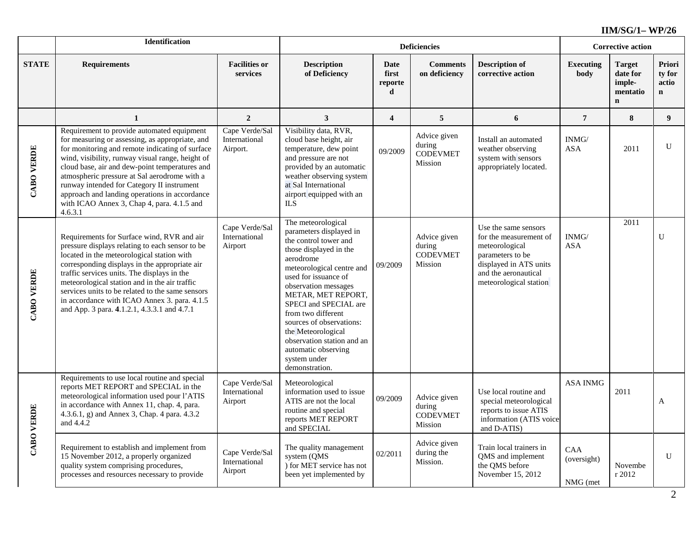|                   | Identification                                                                                                                                                                                                                                                                                                                                                                                                                                                 |                                             |                                                                                                                                                                                                                                                                                                                                                                                                          |                               | <b>Corrective action</b>                             |                                                                                                                                                                  |                                |                                                                |                                          |
|-------------------|----------------------------------------------------------------------------------------------------------------------------------------------------------------------------------------------------------------------------------------------------------------------------------------------------------------------------------------------------------------------------------------------------------------------------------------------------------------|---------------------------------------------|----------------------------------------------------------------------------------------------------------------------------------------------------------------------------------------------------------------------------------------------------------------------------------------------------------------------------------------------------------------------------------------------------------|-------------------------------|------------------------------------------------------|------------------------------------------------------------------------------------------------------------------------------------------------------------------|--------------------------------|----------------------------------------------------------------|------------------------------------------|
| <b>STATE</b>      | <b>Requirements</b>                                                                                                                                                                                                                                                                                                                                                                                                                                            | <b>Facilities or</b><br>services            | <b>Description</b><br>of Deficiency                                                                                                                                                                                                                                                                                                                                                                      | Date<br>first<br>reporte<br>d | <b>Comments</b><br>on deficiency                     | <b>Description of</b><br>corrective action                                                                                                                       | <b>Executing</b><br>body       | <b>Target</b><br>date for<br>imple-<br>mentatio<br>$\mathbf n$ | Priori<br>ty for<br>actio<br>$\mathbf n$ |
|                   | 1                                                                                                                                                                                                                                                                                                                                                                                                                                                              | $\overline{2}$                              | $\overline{\mathbf{3}}$                                                                                                                                                                                                                                                                                                                                                                                  | $\overline{\mathbf{4}}$       | 5                                                    | 6                                                                                                                                                                | $\overline{7}$                 | 8                                                              | 9 <sup>1</sup>                           |
| <b>CABO VERDE</b> | Requirement to provide automated equipment<br>for measuring or assessing, as appropriate, and<br>for monitoring and remote indicating of surface<br>wind, visibility, runway visual range, height of<br>cloud base, air and dew-point temperatures and<br>atmospheric pressure at Sal aerodrome with a<br>runway intended for Category II instrument<br>approach and landing operations in accordance<br>with ICAO Annex 3, Chap 4, para. 4.1.5 and<br>4.6.3.1 | Cape Verde/Sal<br>International<br>Airport. | Visibility data, RVR,<br>cloud base height, air<br>temperature, dew point<br>and pressure are not<br>provided by an automatic<br>weather observing system<br>at Sal International<br>airport equipped with an<br><b>ILS</b>                                                                                                                                                                              | 09/2009                       | Advice given<br>during<br><b>CODEVMET</b><br>Mission | Install an automated<br>weather observing<br>system with sensors<br>appropriately located.                                                                       | INMG/<br><b>ASA</b>            | 2011                                                           | U                                        |
| <b>CABO VERDE</b> | Requirements for Surface wind, RVR and air<br>pressure displays relating to each sensor to be<br>located in the meteorological station with<br>corresponding displays in the appropriate air<br>traffic services units. The displays in the<br>meteorological station and in the air traffic<br>services units to be related to the same sensors<br>in accordance with ICAO Annex 3. para. 4.1.5<br>and App. 3 para. 4.1.2.1, 4.3.3.1 and 4.7.1                | Cape Verde/Sal<br>International<br>Airport  | The meteorological<br>parameters displayed in<br>the control tower and<br>those displayed in the<br>aerodrome<br>meteorological centre and<br>used for issuance of<br>observation messages<br>METAR, MET REPORT,<br>SPECI and SPECIAL are<br>from two different<br>sources of observations:<br>the Meteorological<br>observation station and an<br>automatic observing<br>system under<br>demonstration. | 09/2009                       | Advice given<br>during<br><b>CODEVMET</b><br>Mission | Use the same sensors<br>for the measurement of<br>meteorological<br>parameters to be<br>displayed in ATS units<br>and the aeronautical<br>meteorological station | INMG/<br><b>ASA</b>            | 2011                                                           | U                                        |
| <b>CABO VERDE</b> | Requirements to use local routine and special<br>reports MET REPORT and SPECIAL in the<br>meteorological information used pour l'ATIS<br>in accordance with Annex 11, chap. 4, para.<br>4.3.6.1, g) and Annex 3, Chap. 4 para. 4.3.2<br>and 4.4.2                                                                                                                                                                                                              | Cape Verde/Sal<br>International<br>Airport  | Meteorological<br>information used to issue<br>ATIS are not the local<br>routine and special<br>reports MET REPORT<br>and SPECIAL                                                                                                                                                                                                                                                                        | 09/2009                       | Advice given<br>during<br><b>CODEVMET</b><br>Mission | Use local routine and<br>special meteorological<br>reports to issue ATIS<br>information (ATIS voice<br>and D-ATIS)                                               | <b>ASA INMG</b>                | 2011                                                           | A                                        |
|                   | Requirement to establish and implement from<br>15 November 2012, a properly organized<br>quality system comprising procedures,<br>processes and resources necessary to provide                                                                                                                                                                                                                                                                                 | Cape Verde/Sal<br>International<br>Airport  | The quality management<br>system (QMS<br>) for MET service has not<br>been yet implemented by                                                                                                                                                                                                                                                                                                            | 02/2011                       | Advice given<br>during the<br>Mission.               | Train local trainers in<br>QMS and implement<br>the QMS before<br>November 15, 2012                                                                              | CAA<br>(oversight)<br>NMG (met | Novembe<br>r 2012                                              | U                                        |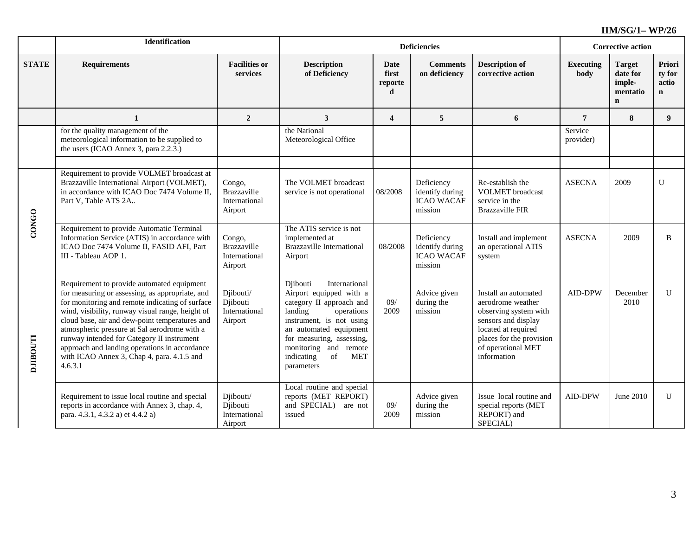|                 | Identification                                                                                                                                                                                                                                                                                                                                                                                                                                                 |                                                          |                                                                                                                                                                                                                                                                       |                               | <b>Corrective action</b>                                      |                                                                                                                                                                                   |                          |                                                                |                                          |
|-----------------|----------------------------------------------------------------------------------------------------------------------------------------------------------------------------------------------------------------------------------------------------------------------------------------------------------------------------------------------------------------------------------------------------------------------------------------------------------------|----------------------------------------------------------|-----------------------------------------------------------------------------------------------------------------------------------------------------------------------------------------------------------------------------------------------------------------------|-------------------------------|---------------------------------------------------------------|-----------------------------------------------------------------------------------------------------------------------------------------------------------------------------------|--------------------------|----------------------------------------------------------------|------------------------------------------|
| <b>STATE</b>    | <b>Requirements</b>                                                                                                                                                                                                                                                                                                                                                                                                                                            | <b>Facilities or</b><br>services                         | <b>Description</b><br>of Deficiency                                                                                                                                                                                                                                   | Date<br>first<br>reporte<br>d | <b>Comments</b><br>on deficiency                              | <b>Description of</b><br>corrective action                                                                                                                                        | <b>Executing</b><br>body | <b>Target</b><br>date for<br>imple-<br>mentatio<br>$\mathbf n$ | Priori<br>ty for<br>actio<br>$\mathbf n$ |
|                 | 1                                                                                                                                                                                                                                                                                                                                                                                                                                                              | $\overline{2}$                                           | 3                                                                                                                                                                                                                                                                     | $\overline{\mathbf{4}}$       | 5                                                             | 6                                                                                                                                                                                 | 7                        | 8                                                              | $9^{\circ}$                              |
|                 | for the quality management of the<br>meteorological information to be supplied to<br>the users (ICAO Annex 3, para 2.2.3.)                                                                                                                                                                                                                                                                                                                                     |                                                          | the National<br>Meteorological Office                                                                                                                                                                                                                                 |                               |                                                               |                                                                                                                                                                                   | Service<br>provider)     |                                                                |                                          |
|                 | Requirement to provide VOLMET broadcast at<br>Brazzaville International Airport (VOLMET),<br>in accordance with ICAO Doc 7474 Volume II.<br>Part V. Table ATS 2A.                                                                                                                                                                                                                                                                                              | Congo,<br><b>Brazzaville</b><br>International<br>Airport | The VOLMET broadcast<br>service is not operational                                                                                                                                                                                                                    | 08/2008                       | Deficiency<br>identify during<br><b>ICAO WACAF</b><br>mission | Re-establish the<br><b>VOLMET</b> broadcast<br>service in the<br><b>Brazzaville FIR</b>                                                                                           | <b>ASECNA</b>            | 2009                                                           | U                                        |
| <b>CONGO</b>    | Requirement to provide Automatic Terminal<br>Information Service (ATIS) in accordance with<br>ICAO Doc 7474 Volume II, FASID AFI, Part<br>III - Tableau AOP 1.                                                                                                                                                                                                                                                                                                 | Congo,<br><b>Brazzaville</b><br>International<br>Airport | The ATIS service is not<br>implemented at<br><b>Brazzaville International</b><br>Airport                                                                                                                                                                              | 08/2008                       | Deficiency<br>identify during<br><b>ICAO WACAF</b><br>mission | Install and implement<br>an operational ATIS<br>system                                                                                                                            | <b>ASECNA</b>            | 2009                                                           | <sub>B</sub>                             |
| <b>LLDOBILG</b> | Requirement to provide automated equipment<br>for measuring or assessing, as appropriate, and<br>for monitoring and remote indicating of surface<br>wind, visibility, runway visual range, height of<br>cloud base, air and dew-point temperatures and<br>atmospheric pressure at Sal aerodrome with a<br>runway intended for Category II instrument<br>approach and landing operations in accordance<br>with ICAO Annex 3, Chap 4, para. 4.1.5 and<br>4.6.3.1 | Djibouti/<br>Djibouti<br>International<br>Airport        | Djibouti<br>International<br>Airport equipped with a<br>category II approach and<br>landing<br>operations<br>instrument, is not using<br>an automated equipment<br>for measuring, assessing,<br>monitoring and remote<br>of<br><b>MET</b><br>indicating<br>parameters | 09/<br>2009                   | Advice given<br>during the<br>mission                         | Install an automated<br>aerodrome weather<br>observing system with<br>sensors and display<br>located at required<br>places for the provision<br>of operational MET<br>information | <b>AID-DPW</b>           | December<br>2010                                               | $\mathbf{U}$                             |
|                 | Requirement to issue local routine and special<br>reports in accordance with Annex 3, chap. 4,<br>para. 4.3.1, 4.3.2 a) et 4.4.2 a)                                                                                                                                                                                                                                                                                                                            | Djibouti/<br>Djibouti<br>International<br>Airport        | Local routine and special<br>reports (MET REPORT)<br>and SPECIAL)<br>are not<br>issued                                                                                                                                                                                | 09/<br>2009                   | Advice given<br>during the<br>mission                         | Issue local routine and<br>special reports (MET<br>REPORT) and<br>SPECIAL)                                                                                                        | <b>AID-DPW</b>           | June 2010                                                      | U                                        |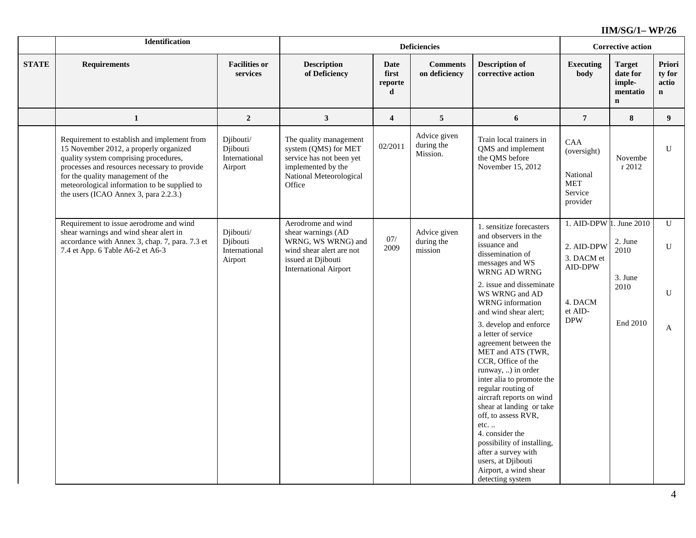|              | <b>Identification</b>                                                                                                                                                                                                                                                                                        |                                                   |                                                                                                                                                  |                               | <b>Deficiencies</b>                    |                                                                                                                                                                                                                                                                                                                                                                                                                             |                                                                            | <b>Corrective action</b>                                       |                                                                                         |                    |      |           |
|--------------|--------------------------------------------------------------------------------------------------------------------------------------------------------------------------------------------------------------------------------------------------------------------------------------------------------------|---------------------------------------------------|--------------------------------------------------------------------------------------------------------------------------------------------------|-------------------------------|----------------------------------------|-----------------------------------------------------------------------------------------------------------------------------------------------------------------------------------------------------------------------------------------------------------------------------------------------------------------------------------------------------------------------------------------------------------------------------|----------------------------------------------------------------------------|----------------------------------------------------------------|-----------------------------------------------------------------------------------------|--------------------|------|-----------|
| <b>STATE</b> | <b>Requirements</b>                                                                                                                                                                                                                                                                                          | <b>Facilities or</b><br>services                  | <b>Description</b><br>of Deficiency                                                                                                              | Date<br>first<br>reporte<br>d | <b>Comments</b><br>on deficiency       | <b>Description of</b><br>corrective action                                                                                                                                                                                                                                                                                                                                                                                  | <b>Executing</b><br>body                                                   | <b>Target</b><br>date for<br>imple-<br>mentatio<br>$\mathbf n$ | Priori<br>ty for<br>actio<br>$\mathbf{n}$                                               |                    |      |           |
|              | 1                                                                                                                                                                                                                                                                                                            | $\overline{2}$                                    | $\mathbf{3}$                                                                                                                                     | $\overline{\mathbf{4}}$       | $\sqrt{5}$                             | 6                                                                                                                                                                                                                                                                                                                                                                                                                           | $\overline{7}$                                                             | 8                                                              | 9 <sup>°</sup>                                                                          |                    |      |           |
|              | Requirement to establish and implement from<br>15 November 2012, a properly organized<br>quality system comprising procedures,<br>processes and resources necessary to provide<br>for the quality management of the<br>meteorological information to be supplied to<br>the users (ICAO Annex 3, para 2.2.3.) | Diibouti/<br>Djibouti<br>International<br>Airport | The quality management<br>system (QMS) for MET<br>service has not been yet<br>implemented by the<br>National Meteorological<br>Office            | 02/2011                       | Advice given<br>during the<br>Mission. | Train local trainers in<br>QMS and implement<br>the QMS before<br>November 15, 2012                                                                                                                                                                                                                                                                                                                                         | <b>CAA</b><br>(oversight)<br>National<br><b>MET</b><br>Service<br>provider | Novembe<br>r 2012                                              | ${\bf U}$                                                                               |                    |      |           |
|              | Requirement to issue aerodrome and wind<br>shear warnings and wind shear alert in<br>accordance with Annex 3, chap. 7, para. 7.3 et<br>7.4 et App. 6 Table A6-2 et A6-3                                                                                                                                      | Diibouti/<br>Djibouti<br>International<br>Airport | Aerodrome and wind<br>shear warnings (AD<br>WRNG, WS WRNG) and<br>wind shear alert are not<br>issued at Djibouti<br><b>International Airport</b> | $07/$<br>2009                 | Advice given<br>during the<br>mission  | 1. sensitize forecasters<br>and observers in the<br>issuance and<br>dissemination of<br>messages and WS<br>WRNG AD WRNG                                                                                                                                                                                                                                                                                                     | 1. AID-DPW 1. June 2010<br>2. AID-DPW<br>3. DACM et<br>AID-DPW             | 2. June<br>2010<br>3. June                                     | $\mathbf{U}$<br>${\bf U}$                                                               |                    |      |           |
|              |                                                                                                                                                                                                                                                                                                              |                                                   |                                                                                                                                                  |                               |                                        |                                                                                                                                                                                                                                                                                                                                                                                                                             |                                                                            |                                                                | 2. issue and disseminate<br>WS WRNG and AD<br>WRNG information<br>and wind shear alert; | 4. DACM<br>et AID- | 2010 | ${\bf U}$ |
|              |                                                                                                                                                                                                                                                                                                              |                                                   |                                                                                                                                                  |                               |                                        | 3. develop and enforce<br>a letter of service<br>agreement between the<br>MET and ATS (TWR,<br>CCR, Office of the<br>runway, ) in order<br>inter alia to promote the<br>regular routing of<br>aircraft reports on wind<br>shear at landing or take<br>off, to assess RVR,<br>etc<br>4. consider the<br>possibility of installing,<br>after a survey with<br>users, at Djibouti<br>Airport, a wind shear<br>detecting system | $\mathbf{DPW}$                                                             | End 2010                                                       | $\mathbf{A}$                                                                            |                    |      |           |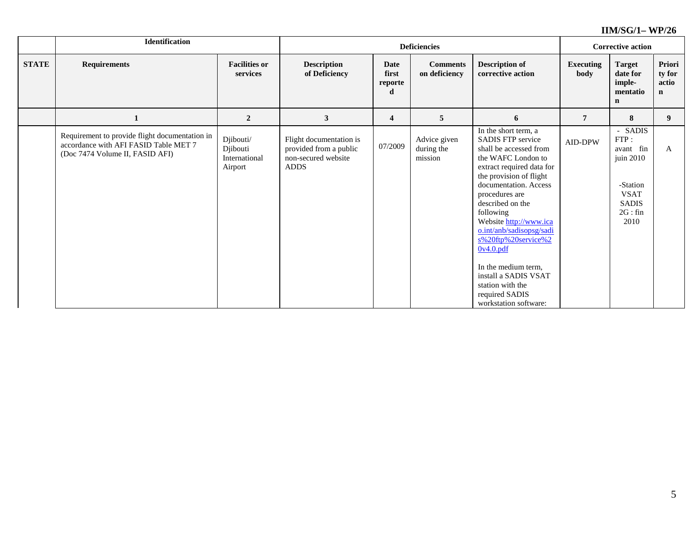|              | Identification                                                                                                             |                                                   |                                                                                         |                               | <b>Deficiencies</b>                   |                                                                                                                                                                                                                                                                                                                                                                                                                                              |                          | <b>Corrective action</b>                                                                                                                |                                |
|--------------|----------------------------------------------------------------------------------------------------------------------------|---------------------------------------------------|-----------------------------------------------------------------------------------------|-------------------------------|---------------------------------------|----------------------------------------------------------------------------------------------------------------------------------------------------------------------------------------------------------------------------------------------------------------------------------------------------------------------------------------------------------------------------------------------------------------------------------------------|--------------------------|-----------------------------------------------------------------------------------------------------------------------------------------|--------------------------------|
| <b>STATE</b> | <b>Requirements</b>                                                                                                        | <b>Facilities or</b><br>services                  | <b>Description</b><br>of Deficiency                                                     | Date<br>first<br>reporte<br>d | <b>Comments</b><br>on deficiency      | <b>Description of</b><br>corrective action                                                                                                                                                                                                                                                                                                                                                                                                   | <b>Executing</b><br>body | <b>Target</b><br>date for<br>imple-<br>mentatio<br>$\mathbf n$                                                                          | Priori<br>ty for<br>actio<br>n |
|              |                                                                                                                            | $\overline{2}$                                    | 3                                                                                       | 4                             | 5                                     | 6                                                                                                                                                                                                                                                                                                                                                                                                                                            | 7                        | 8                                                                                                                                       | 9                              |
|              | Requirement to provide flight documentation in<br>accordance with AFI FASID Table MET 7<br>(Doc 7474 Volume II, FASID AFI) | Djibouti/<br>Djibouti<br>International<br>Airport | Flight documentation is<br>provided from a public<br>non-secured website<br><b>ADDS</b> | 07/2009                       | Advice given<br>during the<br>mission | In the short term, a<br><b>SADIS FTP service</b><br>shall be accessed from<br>the WAFC London to<br>extract required data for<br>the provision of flight<br>documentation. Access<br>procedures are<br>described on the<br>following<br>Website http://www.ica<br>o.int/anb/sadisopsg/sadi<br>s%20ftp%20service%2<br>0v4.0.pdf<br>In the medium term,<br>install a SADIS VSAT<br>station with the<br>required SADIS<br>workstation software: | AID-DPW                  | <b>SADIS</b><br>$\overline{\phantom{a}}$<br>FTP:<br>avant fin<br>juin 2010<br>-Station<br><b>VSAT</b><br><b>SADIS</b><br>2G:fin<br>2010 | $\mathbf{A}$                   |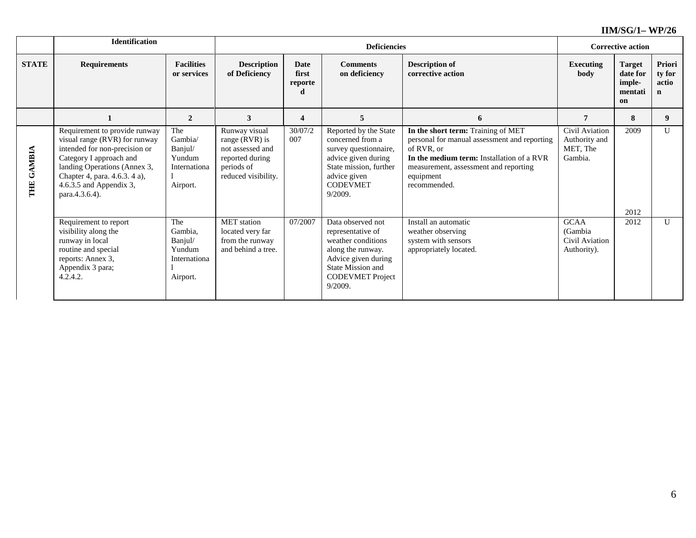|                             | <b>Identification</b>                                                                                                                                                                                                                      |                                                                 |                                                                                                             |                                                                                    | <b>Deficiencies</b>                                                                                                                                                 |                                                                                                                                                                                                                     | <b>Corrective action</b>                                |                                                      |                                |
|-----------------------------|--------------------------------------------------------------------------------------------------------------------------------------------------------------------------------------------------------------------------------------------|-----------------------------------------------------------------|-------------------------------------------------------------------------------------------------------------|------------------------------------------------------------------------------------|---------------------------------------------------------------------------------------------------------------------------------------------------------------------|---------------------------------------------------------------------------------------------------------------------------------------------------------------------------------------------------------------------|---------------------------------------------------------|------------------------------------------------------|--------------------------------|
| <b>STATE</b>                | <b>Requirements</b>                                                                                                                                                                                                                        | <b>Facilities</b><br>or services                                | <b>Description</b><br>of Deficiency                                                                         | <b>Date</b><br><b>Comments</b><br>first<br>on deficiency<br>reporte<br>d<br>5<br>4 |                                                                                                                                                                     | <b>Description of</b><br>corrective action                                                                                                                                                                          | <b>Executing</b><br>body                                | <b>Target</b><br>date for<br>imple-<br>mentati<br>on | Priori<br>ty for<br>actio<br>n |
|                             |                                                                                                                                                                                                                                            | $\overline{2}$                                                  | 3                                                                                                           |                                                                                    |                                                                                                                                                                     | 6                                                                                                                                                                                                                   | 7                                                       | 8                                                    | 9                              |
| <b>GAMBIA</b><br><b>THE</b> | Requirement to provide runway<br>visual range (RVR) for runway<br>intended for non-precision or<br>Category I approach and<br>landing Operations (Annex 3,<br>Chapter 4, para. 4.6.3. 4 a),<br>$4.6.3.5$ and Appendix 3,<br>para.4.3.6.4). | The<br>Gambia/<br>Banjul/<br>Yundum<br>Internationa<br>Airport. | Runway visual<br>range (RVR) is<br>not assessed and<br>reported during<br>periods of<br>reduced visibility. | 30/07/2<br>007                                                                     | Reported by the State<br>concerned from a<br>survey questionnaire,<br>advice given during<br>State mission, further<br>advice given<br><b>CODEVMET</b><br>9/2009.   | In the short term: Training of MET<br>personal for manual assessment and reporting<br>of RVR, or<br>In the medium term: Installation of a RVR<br>measurement, assessment and reporting<br>equipment<br>recommended. | Civil Aviation<br>Authority and<br>MET, The<br>Gambia.  | 2009<br>2012                                         | $\mathbf{U}$                   |
|                             | Requirement to report<br>visibility along the<br>runway in local<br>routine and special<br>reports: Annex 3,<br>Appendix 3 para;<br>4.2.4.2.                                                                                               | The<br>Gambia,<br>Banjul/<br>Yundum<br>Internationa<br>Airport. | <b>MET</b> station<br>located very far<br>from the runway<br>and behind a tree.                             | 07/2007                                                                            | Data observed not<br>representative of<br>weather conditions<br>along the runway.<br>Advice given during<br>State Mission and<br><b>CODEVMET Project</b><br>9/2009. | Install an automatic<br>weather observing<br>system with sensors<br>appropriately located.                                                                                                                          | <b>GCAA</b><br>(Gambia<br>Civil Aviation<br>Authority). | 2012                                                 | U                              |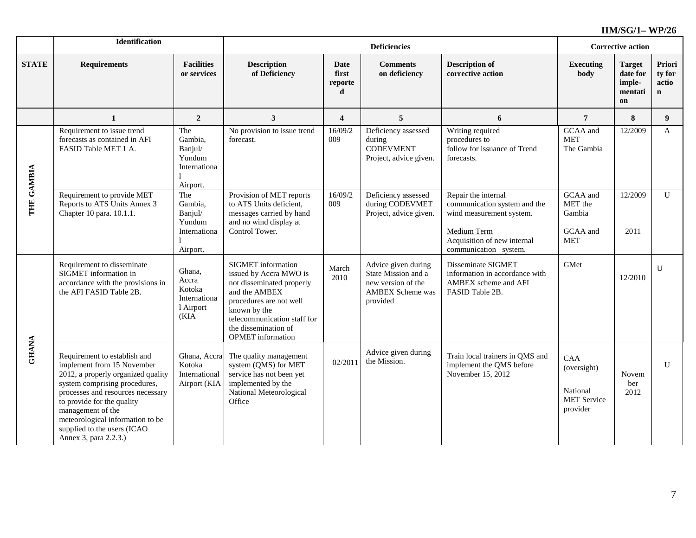|              | <b>Identification</b>                                                                                                                                                                                                                                                                                                 |                                                                 |                                                                                                                                                                                                                                 |                               | <b>Deficiencies</b>                                                                                     |                                                                                                                                                        |                                                                  | <b>Corrective action</b>                             |                                |
|--------------|-----------------------------------------------------------------------------------------------------------------------------------------------------------------------------------------------------------------------------------------------------------------------------------------------------------------------|-----------------------------------------------------------------|---------------------------------------------------------------------------------------------------------------------------------------------------------------------------------------------------------------------------------|-------------------------------|---------------------------------------------------------------------------------------------------------|--------------------------------------------------------------------------------------------------------------------------------------------------------|------------------------------------------------------------------|------------------------------------------------------|--------------------------------|
| <b>STATE</b> | <b>Requirements</b>                                                                                                                                                                                                                                                                                                   | <b>Facilities</b><br>or services                                | <b>Description</b><br>of Deficiency                                                                                                                                                                                             | Date<br>first<br>reporte<br>d | <b>Comments</b><br>on deficiency                                                                        | <b>Description of</b><br>corrective action                                                                                                             | <b>Executing</b><br>body                                         | <b>Target</b><br>date for<br>imple-<br>mentati<br>on | Priori<br>ty for<br>actio<br>n |
|              | 1                                                                                                                                                                                                                                                                                                                     | $\overline{2}$                                                  | 3                                                                                                                                                                                                                               | $\overline{4}$                | 5                                                                                                       | 6                                                                                                                                                      | 7                                                                | 8                                                    | 9                              |
|              | Requirement to issue trend<br>forecasts as contained in AFI<br>FASID Table MET 1 A.                                                                                                                                                                                                                                   | The<br>Gambia,<br>Banjul/<br>Yundum<br>Internationa<br>Airport. | No provision to issue trend<br>forecast.                                                                                                                                                                                        | 16/09/2<br>009                | Deficiency assessed<br>during<br><b>CODEVMENT</b><br>Project, advice given.                             | Writing required<br>procedures to<br>follow for issuance of Trend<br>forecasts.                                                                        | GCAA and<br><b>MET</b><br>The Gambia                             | 12/2009                                              | A                              |
| THE GAMBIA   | Requirement to provide MET<br>Reports to ATS Units Annex 3<br>Chapter 10 para. 10.1.1.                                                                                                                                                                                                                                | The<br>Gambia,<br>Banjul/<br>Yundum<br>Internationa<br>Airport. | Provision of MET reports<br>to ATS Units deficient,<br>messages carried by hand<br>and no wind display at<br>Control Tower.                                                                                                     | 16/09/2<br>009                | Deficiency assessed<br>during CODEVMET<br>Project, advice given.                                        | Repair the internal<br>communication system and the<br>wind measurement system.<br>Medium Term<br>Acquisition of new internal<br>communication system. | GCAA and<br>MET the<br>Gambia<br>GCAA and<br><b>MET</b>          | 12/2009<br>2011                                      | $\mathbf{U}$                   |
|              | Requirement to disseminate<br>SIGMET information in<br>accordance with the provisions in<br>the AFI FASID Table 2B.                                                                                                                                                                                                   | Ghana,<br>Accra<br>Kotoka<br>Internationa<br>l Airport<br>(KIA  | <b>SIGMET</b> information<br>issued by Accra MWO is<br>not disseminated properly<br>and the AMBEX<br>procedures are not well<br>known by the<br>telecommunication staff for<br>the dissemination of<br><b>OPMET</b> information | March<br>2010                 | Advice given during<br>State Mission and a<br>new version of the<br><b>AMBEX Scheme was</b><br>provided | Disseminate SIGMET<br>information in accordance with<br>AMBEX scheme and AFI<br>FASID Table 2B.                                                        | GMet                                                             | 12/2010                                              | $\overline{U}$                 |
| <b>GHANA</b> | Requirement to establish and<br>implement from 15 November<br>2012, a properly organized quality<br>system comprising procedures,<br>processes and resources necessary<br>to provide for the quality<br>management of the<br>meteorological information to be<br>supplied to the users (ICAO<br>Annex 3, para 2.2.3.) | Ghana, Accra<br>Kotoka<br>International<br>Airport (KIA         | The quality management<br>system (QMS) for MET<br>service has not been yet<br>implemented by the<br>National Meteorological<br>Office                                                                                           | 02/2011                       | Advice given during<br>the Mission.                                                                     | Train local trainers in QMS and<br>implement the QMS before<br>November 15, 2012                                                                       | CAA<br>(oversight)<br>National<br><b>MET</b> Service<br>provider | Novem<br>ber<br>2012                                 | U                              |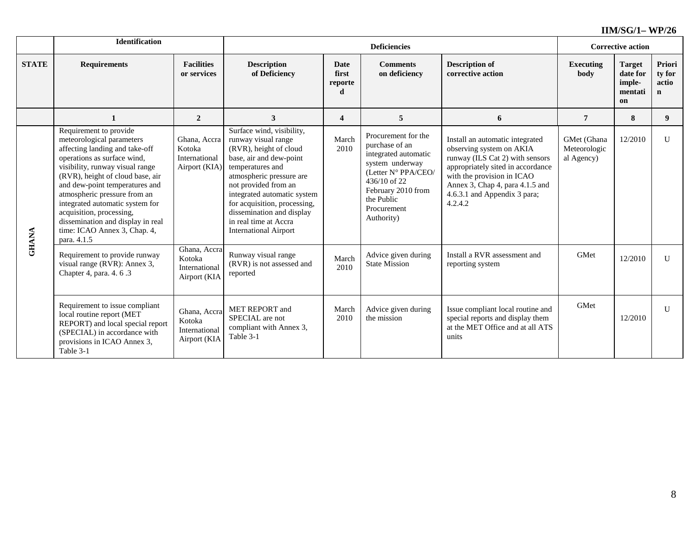|              | <b>Identification</b>                                                                                                                                                                                                                                                                                                                                                                                            |                                                          |                                                                                                                                                                                                                                                                                                                                    |                                      | <b>Deficiencies</b>                                                                                                                                                                      |                                                                                                                                                                                                                                                 |                                           | <b>Corrective action</b>                             |                                |
|--------------|------------------------------------------------------------------------------------------------------------------------------------------------------------------------------------------------------------------------------------------------------------------------------------------------------------------------------------------------------------------------------------------------------------------|----------------------------------------------------------|------------------------------------------------------------------------------------------------------------------------------------------------------------------------------------------------------------------------------------------------------------------------------------------------------------------------------------|--------------------------------------|------------------------------------------------------------------------------------------------------------------------------------------------------------------------------------------|-------------------------------------------------------------------------------------------------------------------------------------------------------------------------------------------------------------------------------------------------|-------------------------------------------|------------------------------------------------------|--------------------------------|
| <b>STATE</b> | <b>Requirements</b>                                                                                                                                                                                                                                                                                                                                                                                              | <b>Facilities</b><br>or services                         | <b>Description</b><br>of Deficiency                                                                                                                                                                                                                                                                                                | <b>Date</b><br>first<br>reporte<br>d | <b>Comments</b><br>on deficiency                                                                                                                                                         | <b>Description of</b><br>corrective action                                                                                                                                                                                                      | <b>Executing</b><br>body                  | <b>Target</b><br>date for<br>imple-<br>mentati<br>on | Priori<br>ty for<br>actio<br>n |
|              | $\mathbf{1}$                                                                                                                                                                                                                                                                                                                                                                                                     | $\overline{2}$                                           | 3                                                                                                                                                                                                                                                                                                                                  | $\overline{\mathbf{4}}$              | 5                                                                                                                                                                                        | 6                                                                                                                                                                                                                                               | $\overline{7}$                            | 8                                                    | $\boldsymbol{9}$               |
| <b>GHANA</b> | Requirement to provide<br>meteorological parameters<br>affecting landing and take-off<br>operations as surface wind,<br>visibility, runway visual range<br>(RVR), height of cloud base, air<br>and dew-point temperatures and<br>atmospheric pressure from an<br>integrated automatic system for<br>acquisition, processing,<br>dissemination and display in real<br>time: ICAO Annex 3, Chap. 4,<br>para. 4.1.5 | Ghana, Accra<br>Kotoka<br>International<br>Airport (KIA) | Surface wind, visibility,<br>runway visual range<br>(RVR), height of cloud<br>base, air and dew-point<br>temperatures and<br>atmospheric pressure are<br>not provided from an<br>integrated automatic system<br>for acquisition, processing,<br>dissemination and display<br>in real time at Accra<br><b>International Airport</b> | March<br>2010                        | Procurement for the<br>purchase of an<br>integrated automatic<br>system underway<br>(Letter N° PPA/CEO/<br>436/10 of 22<br>February 2010 from<br>the Public<br>Procurement<br>Authority) | Install an automatic integrated<br>observing system on AKIA<br>runway (ILS Cat 2) with sensors<br>appropriately sited in accordance<br>with the provision in ICAO<br>Annex 3, Chap 4, para 4.1.5 and<br>4.6.3.1 and Appendix 3 para;<br>4.2.4.2 | GMet (Ghana<br>Meteorologic<br>al Agency) | 12/2010                                              | $\mathbf{U}$                   |
|              | Requirement to provide runway<br>visual range (RVR): Annex 3,<br>Chapter 4, para. 4. 6.3                                                                                                                                                                                                                                                                                                                         | Ghana, Accra<br>Kotoka<br>International<br>Airport (KIA  | Runway visual range<br>(RVR) is not assessed and<br>reported                                                                                                                                                                                                                                                                       | March<br>2010                        | Advice given during<br><b>State Mission</b>                                                                                                                                              | Install a RVR assessment and<br>reporting system                                                                                                                                                                                                | GMet                                      | 12/2010                                              | $\mathbf{U}$                   |
|              | Requirement to issue compliant<br>local routine report (MET<br>REPORT) and local special report<br>(SPECIAL) in accordance with<br>provisions in ICAO Annex 3,<br>Table 3-1                                                                                                                                                                                                                                      | Ghana, Accra<br>Kotoka<br>International<br>Airport (KIA  | MET REPORT and<br>SPECIAL are not<br>compliant with Annex 3,<br>Table 3-1                                                                                                                                                                                                                                                          | March<br>2010                        | Advice given during<br>the mission                                                                                                                                                       | Issue compliant local routine and<br>special reports and display them<br>at the MET Office and at all ATS<br>units                                                                                                                              | <b>GMet</b>                               | 12/2010                                              | $\mathbf{U}$                   |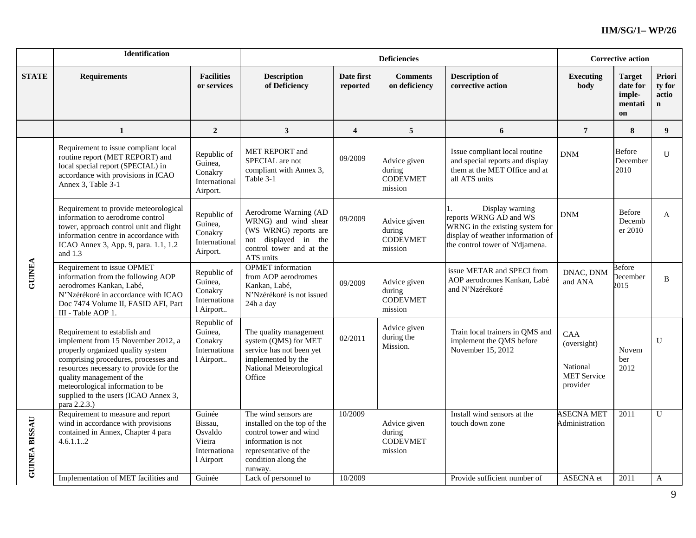|                      | Identification                                                                                                                                                                                                                                                                                                     |                                                                     |                                                                                                                                                                |                         | <b>Deficiencies</b>                                  |                                                                                                                                                      |                                                                  | <b>Corrective action</b>                             |                                          |
|----------------------|--------------------------------------------------------------------------------------------------------------------------------------------------------------------------------------------------------------------------------------------------------------------------------------------------------------------|---------------------------------------------------------------------|----------------------------------------------------------------------------------------------------------------------------------------------------------------|-------------------------|------------------------------------------------------|------------------------------------------------------------------------------------------------------------------------------------------------------|------------------------------------------------------------------|------------------------------------------------------|------------------------------------------|
| <b>STATE</b>         | <b>Requirements</b>                                                                                                                                                                                                                                                                                                | <b>Facilities</b><br>or services                                    | <b>Description</b><br>of Deficiency                                                                                                                            | Date first<br>reported  | <b>Comments</b><br>on deficiency                     | <b>Description of</b><br>corrective action                                                                                                           | <b>Executing</b><br>body                                         | <b>Target</b><br>date for<br>imple-<br>mentati<br>on | Priori<br>ty for<br>actio<br>$\mathbf n$ |
|                      | 1                                                                                                                                                                                                                                                                                                                  | $\overline{2}$                                                      | 3                                                                                                                                                              | $\overline{\mathbf{4}}$ | 5                                                    | 6                                                                                                                                                    | $\boldsymbol{7}$                                                 | 8                                                    | 9                                        |
|                      | Requirement to issue compliant local<br>routine report (MET REPORT) and<br>local special report (SPECIAL) in<br>accordance with provisions in ICAO<br>Annex 3, Table 3-1                                                                                                                                           | Republic of<br>Guinea,<br>Conakry<br>International<br>Airport.      | <b>MET REPORT and</b><br>SPECIAL are not<br>compliant with Annex 3,<br>Table 3-1                                                                               | 09/2009                 | Advice given<br>during<br><b>CODEVMET</b><br>mission | Issue compliant local routine<br>and special reports and display<br>them at the MET Office and at<br>all ATS units                                   | <b>DNM</b>                                                       | <b>Before</b><br>December<br>2010                    | $\overline{U}$                           |
|                      | Requirement to provide meteorological<br>information to aerodrome control<br>tower, approach control unit and flight<br>information centre in accordance with<br>ICAO Annex 3, App. 9, para. 1.1, 1.2<br>and $1.3$                                                                                                 | Republic of<br>Guinea,<br>Conakry<br>International<br>Airport.      | Aerodrome Warning (AD<br>WRNG) and wind shear<br>(WS WRNG) reports are<br>not displayed in the<br>control tower and at the<br>ATS units                        | 09/2009                 | Advice given<br>during<br><b>CODEVMET</b><br>mission | Display warning<br>reports WRNG AD and WS<br>WRNG in the existing system for<br>display of weather information of<br>the control tower of N'djamena. | <b>DNM</b>                                                       | Before<br>Decemb<br>er 2010                          | A                                        |
| <b>GUINEA</b>        | Requirement to issue OPMET<br>information from the following AOP<br>aerodromes Kankan, Labé,<br>N'Nzérékoré in accordance with ICAO<br>Doc 7474 Volume II, FASID AFI, Part<br>III - Table AOP 1.                                                                                                                   | Republic of<br>Guinea,<br>Conakry<br>Internationa<br>l Airport      | <b>OPMET</b> information<br>from AOP aerodromes<br>Kankan, Labé,<br>N'Nzérékoré is not issued<br>24h a day                                                     | 09/2009                 | Advice given<br>during<br><b>CODEVMET</b><br>mission | issue METAR and SPECI from<br>AOP aerodromes Kankan, Labé<br>and N'Nzérékoré                                                                         | DNAC, DNM<br>and ANA                                             | <b>Before</b><br>December<br>2015                    | B                                        |
|                      | Requirement to establish and<br>implement from 15 November 2012, a<br>properly organized quality system<br>comprising procedures, processes and<br>resources necessary to provide for the<br>quality management of the<br>meteorological information to be<br>supplied to the users (ICAO Annex 3,<br>para 2.2.3.) | Republic of<br>Guinea,<br>Conakry<br>Internationa<br>l Airport      | The quality management<br>system (QMS) for MET<br>service has not been yet<br>implemented by the<br>National Meteorological<br>Office                          | 02/2011                 | Advice given<br>during the<br>Mission.               | Train local trainers in OMS and<br>implement the QMS before<br>November 15, 2012                                                                     | CAA<br>(oversight)<br>National<br><b>MET</b> Service<br>provider | Novem<br>ber<br>2012                                 | U                                        |
| <b>GUINEA BISSAU</b> | Requirement to measure and report<br>wind in accordance with provisions<br>contained in Annex, Chapter 4 para<br>4.6.1.12                                                                                                                                                                                          | Guinée<br>Bissau,<br>Osvaldo<br>Vieira<br>Internationa<br>1 Airport | The wind sensors are<br>installed on the top of the<br>control tower and wind<br>information is not<br>representative of the<br>condition along the<br>runway. | 10/2009                 | Advice given<br>during<br><b>CODEVMET</b><br>mission | Install wind sensors at the<br>touch down zone                                                                                                       | <b>ASECNA MET</b><br>Administration                              | 2011                                                 | $\mathbf{U}$                             |
|                      | Implementation of MET facilities and                                                                                                                                                                                                                                                                               | Guinée                                                              | Lack of personnel to                                                                                                                                           | 10/2009                 |                                                      | Provide sufficient number of                                                                                                                         | ASECNA et                                                        | 2011                                                 | A                                        |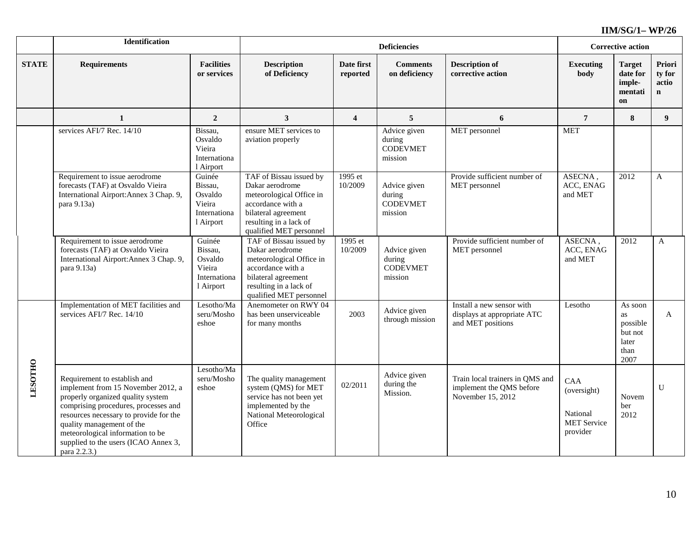|                | <b>Identification</b>                                                                                                                                                                                                                                                                                              |                                                                     |                                                                                                                                                                         |                         | <b>Deficiencies</b>                                  |                                                                                  | <b>Corrective action</b>                                         |                                                               |                                          |
|----------------|--------------------------------------------------------------------------------------------------------------------------------------------------------------------------------------------------------------------------------------------------------------------------------------------------------------------|---------------------------------------------------------------------|-------------------------------------------------------------------------------------------------------------------------------------------------------------------------|-------------------------|------------------------------------------------------|----------------------------------------------------------------------------------|------------------------------------------------------------------|---------------------------------------------------------------|------------------------------------------|
| <b>STATE</b>   | <b>Requirements</b>                                                                                                                                                                                                                                                                                                | <b>Facilities</b><br>or services                                    | <b>Description</b><br>of Deficiency                                                                                                                                     | Date first<br>reported  | <b>Comments</b><br>on deficiency                     | <b>Description of</b><br>corrective action                                       | <b>Executing</b><br>body                                         | <b>Target</b><br>date for<br>imple-<br>mentati<br>on          | Priori<br>ty for<br>actio<br>$\mathbf n$ |
|                | 1                                                                                                                                                                                                                                                                                                                  | $\boldsymbol{2}$                                                    | 3                                                                                                                                                                       | $\overline{\mathbf{4}}$ | 5                                                    | 6                                                                                | $\overline{7}$                                                   | 8                                                             | 9                                        |
|                | services AFI/7 Rec. 14/10                                                                                                                                                                                                                                                                                          | Bissau,<br>Osvaldo<br>Vieira<br>Internationa<br>1 Airport           | ensure MET services to<br>aviation properly                                                                                                                             |                         | Advice given<br>during<br><b>CODEVMET</b><br>mission | MET personnel                                                                    | <b>MET</b>                                                       |                                                               |                                          |
|                | Requirement to issue aerodrome<br>forecasts (TAF) at Osvaldo Vieira<br>International Airport: Annex 3 Chap. 9,<br>para 9.13a)                                                                                                                                                                                      | Guinée<br>Bissau,<br>Osvaldo<br>Vieira<br>Internationa<br>l Airport | TAF of Bissau issued by<br>Dakar aerodrome<br>meteorological Office in<br>accordance with a<br>bilateral agreement<br>resulting in a lack of<br>qualified MET personnel | 1995 et<br>10/2009      | Advice given<br>during<br><b>CODEVMET</b><br>mission | Provide sufficient number of<br>MET personnel                                    | ASECNA,<br>ACC, ENAG<br>and MET                                  | 2012                                                          | $\mathbf{A}$                             |
|                | Requirement to issue aerodrome<br>forecasts (TAF) at Osvaldo Vieira<br>International Airport: Annex 3 Chap. 9,<br>para 9.13a)                                                                                                                                                                                      | Guinée<br>Bissau,<br>Osvaldo<br>Vieira<br>Internationa<br>1 Airport | TAF of Bissau issued by<br>Dakar aerodrome<br>meteorological Office in<br>accordance with a<br>bilateral agreement<br>resulting in a lack of<br>qualified MET personnel | 1995 et<br>10/2009      | Advice given<br>during<br><b>CODEVMET</b><br>mission | Provide sufficient number of<br>MET personnel                                    | ASECNA,<br>ACC, ENAG<br>and MET                                  | 2012                                                          | $\mathbf{A}$                             |
|                | Implementation of MET facilities and<br>services AFI/7 Rec. 14/10                                                                                                                                                                                                                                                  | Lesotho/Ma<br>seru/Mosho<br>eshoe                                   | Anemometer on RWY 04<br>has been unserviceable<br>for many months                                                                                                       | 2003                    | Advice given<br>through mission                      | Install a new sensor with<br>displays at appropriate ATC<br>and MET positions    | Lesotho                                                          | As soon<br>as<br>possible<br>but not<br>later<br>than<br>2007 | A                                        |
| <b>LESOTHO</b> | Requirement to establish and<br>implement from 15 November 2012, a<br>properly organized quality system<br>comprising procedures, processes and<br>resources necessary to provide for the<br>quality management of the<br>meteorological information to be<br>supplied to the users (ICAO Annex 3,<br>para 2.2.3.) | Lesotho/Ma<br>seru/Mosho<br>eshoe                                   | The quality management<br>system (QMS) for MET<br>service has not been yet<br>implemented by the<br>National Meteorological<br>Office                                   | 02/2011                 | Advice given<br>during the<br>Mission.               | Train local trainers in QMS and<br>implement the QMS before<br>November 15, 2012 | CAA<br>(oversight)<br>National<br><b>MET</b> Service<br>provider | Novem<br>ber<br>2012                                          | $\mathbf{U}$                             |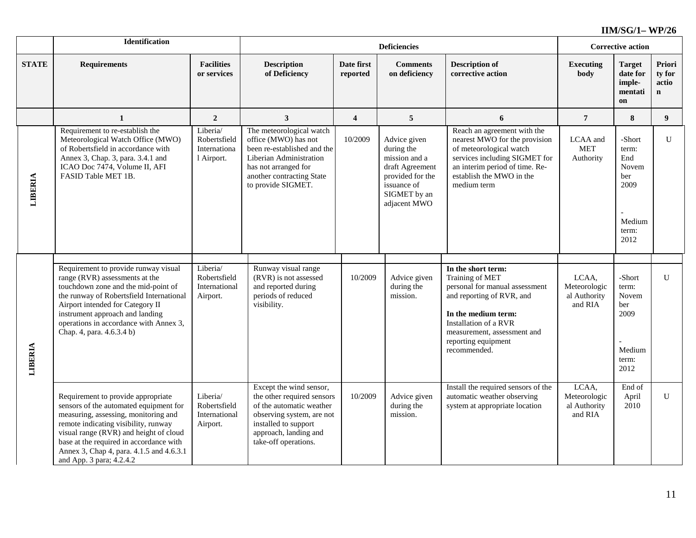|                | Identification                                                                                                                                                                                                                                                                                                            |                                                        |                                                                                                                                                                                         |                         | <b>Deficiencies</b>                                                                                                               |                                                                                                                                                                                                       | <b>Corrective action</b>                         |                                                                           |                                          |
|----------------|---------------------------------------------------------------------------------------------------------------------------------------------------------------------------------------------------------------------------------------------------------------------------------------------------------------------------|--------------------------------------------------------|-----------------------------------------------------------------------------------------------------------------------------------------------------------------------------------------|-------------------------|-----------------------------------------------------------------------------------------------------------------------------------|-------------------------------------------------------------------------------------------------------------------------------------------------------------------------------------------------------|--------------------------------------------------|---------------------------------------------------------------------------|------------------------------------------|
| <b>STATE</b>   | <b>Requirements</b>                                                                                                                                                                                                                                                                                                       | <b>Facilities</b><br>or services                       | <b>Description</b><br>of Deficiency                                                                                                                                                     | Date first<br>reported  | <b>Comments</b><br>on deficiency                                                                                                  | <b>Description of</b><br>corrective action                                                                                                                                                            | <b>Executing</b><br>body                         | <b>Target</b><br>date for<br>imple-<br>mentati<br>on                      | Priori<br>ty for<br>actio<br>$\mathbf n$ |
|                | $\mathbf{1}$                                                                                                                                                                                                                                                                                                              | $\boldsymbol{2}$                                       | $\mathbf{3}$                                                                                                                                                                            | $\overline{\mathbf{4}}$ | $\sqrt{5}$                                                                                                                        | 6                                                                                                                                                                                                     | $\overline{7}$                                   | $\bf{8}$                                                                  | 9                                        |
| <b>LIBERIA</b> | Requirement to re-establish the<br>Meteorological Watch Office (MWO)<br>of Robertsfield in accordance with<br>Annex 3, Chap. 3, para. 3.4.1 and<br>ICAO Doc 7474, Volume II, AFI<br>FASID Table MET 1B.                                                                                                                   | Liberia/<br>Robertsfield<br>Internationa<br>l Airport. | The meteorological watch<br>office (MWO) has not<br>been re-established and the<br>Liberian Administration<br>has not arranged for<br>another contracting State<br>to provide SIGMET.   | 10/2009                 | Advice given<br>during the<br>mission and a<br>draft Agreement<br>provided for the<br>issuance of<br>SIGMET by an<br>adjacent MWO | Reach an agreement with the<br>nearest MWO for the provision<br>of meteorological watch<br>services including SIGMET for<br>an interim period of time. Re-<br>establish the MWO in the<br>medium term | LCAA and<br><b>MET</b><br>Authority              | -Short<br>term:<br>End<br>Novem<br>ber<br>2009<br>Medium<br>term:<br>2012 | U                                        |
|                | Requirement to provide runway visual                                                                                                                                                                                                                                                                                      | Liberia/                                               | Runway visual range                                                                                                                                                                     |                         |                                                                                                                                   | In the short term:                                                                                                                                                                                    |                                                  |                                                                           |                                          |
| <b>LIBERIA</b> | range (RVR) assessments at the<br>touchdown zone and the mid-point of<br>the runway of Robertsfield International<br>Airport intended for Category II<br>instrument approach and landing<br>operations in accordance with Annex 3,<br>Chap. 4, para. 4.6.3.4 b)                                                           | Robertsfield<br>International<br>Airport.              | (RVR) is not assessed<br>and reported during<br>periods of reduced<br>visibility.                                                                                                       | 10/2009                 | Advice given<br>during the<br>mission.                                                                                            | Training of MET<br>personal for manual assessment<br>and reporting of RVR, and<br>In the medium term:<br>Installation of a RVR<br>measurement, assessment and<br>reporting equipment<br>recommended.  | LCAA,<br>Meteorologic<br>al Authority<br>and RIA | -Short<br>term:<br>Novem<br>ber<br>2009<br>Medium<br>term:<br>2012        | U                                        |
|                | Requirement to provide appropriate<br>sensors of the automated equipment for<br>measuring, assessing, monitoring and<br>remote indicating visibility, runway<br>visual range (RVR) and height of cloud<br>base at the required in accordance with<br>Annex 3, Chap 4, para. 4.1.5 and 4.6.3.1<br>and App. 3 para; 4.2.4.2 | Liberia/<br>Robertsfield<br>International<br>Airport.  | Except the wind sensor,<br>the other required sensors<br>of the automatic weather<br>observing system, are not<br>installed to support<br>approach, landing and<br>take-off operations. | 10/2009                 | Advice given<br>during the<br>mission.                                                                                            | Install the required sensors of the<br>automatic weather observing<br>system at appropriate location                                                                                                  | LCAA,<br>Meteorologic<br>al Authority<br>and RIA | End of<br>April<br>2010                                                   | U                                        |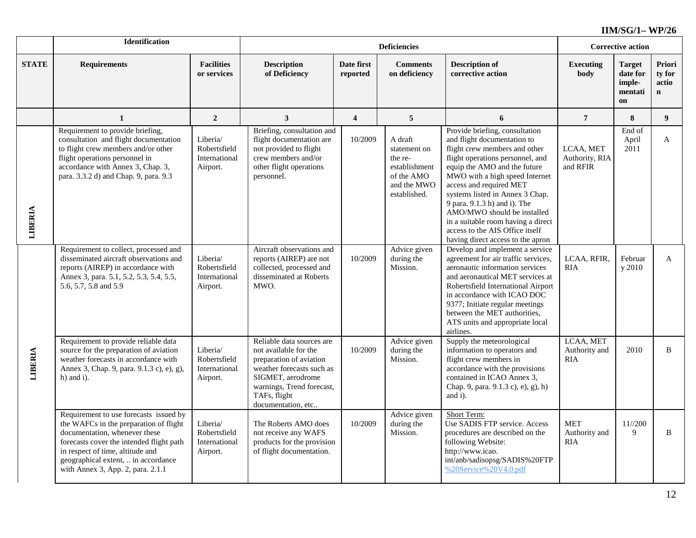|              | <b>Identification</b>                                                                                                                                                                                                                                                         |                                                       |                                                                                                                                                                                                    |                         | <b>Corrective action</b>                                                                         |                                                                                                                                                                                                                                                                                                                                                                                                                                                 |                                         |                                                      |                                           |
|--------------|-------------------------------------------------------------------------------------------------------------------------------------------------------------------------------------------------------------------------------------------------------------------------------|-------------------------------------------------------|----------------------------------------------------------------------------------------------------------------------------------------------------------------------------------------------------|-------------------------|--------------------------------------------------------------------------------------------------|-------------------------------------------------------------------------------------------------------------------------------------------------------------------------------------------------------------------------------------------------------------------------------------------------------------------------------------------------------------------------------------------------------------------------------------------------|-----------------------------------------|------------------------------------------------------|-------------------------------------------|
| <b>STATE</b> | <b>Requirements</b>                                                                                                                                                                                                                                                           | <b>Facilities</b><br>or services                      | <b>Description</b><br>of Deficiency                                                                                                                                                                | Date first<br>reported  | <b>Comments</b><br>on deficiency                                                                 | <b>Description of</b><br>corrective action                                                                                                                                                                                                                                                                                                                                                                                                      | Executing<br>body                       | <b>Target</b><br>date for<br>imple-<br>mentati<br>on | Priori<br>ty for<br>actio<br>$\mathbf{n}$ |
|              | 1                                                                                                                                                                                                                                                                             | $\overline{2}$                                        | $\mathbf{3}$                                                                                                                                                                                       | $\overline{\mathbf{4}}$ | $5\phantom{.0}$                                                                                  | 6                                                                                                                                                                                                                                                                                                                                                                                                                                               | $\overline{7}$                          | $\bf8$                                               | 9 <sup>1</sup>                            |
| LIBERIA      | Requirement to provide briefing,<br>consultation and flight documentation<br>to flight crew members and/or other<br>flight operations personnel in<br>accordance with Annex 3, Chap. 3,<br>para. 3.3.2 d) and Chap. 9, para. 9.3                                              | Liberia/<br>Robertsfield<br>International<br>Airport. | Briefing, consultation and<br>flight documentation are<br>not provided to flight<br>crew members and/or<br>other flight operations<br>personnel.                                                   | 10/2009                 | A draft<br>statement on<br>the re-<br>establishment<br>of the AMO<br>and the MWO<br>established. | Provide briefing, consultation<br>and flight documentation to<br>flight crew members and other<br>flight operations personnel, and<br>equip the AMO and the future<br>MWO with a high speed Internet<br>access and required MET<br>systems listed in Annex 3 Chap.<br>9 para. 9.1.3 h) and i). The<br>AMO/MWO should be installed<br>in a suitable room having a direct<br>access to the AIS Office itself<br>having direct access to the apron | LCAA, MET<br>Authority, RIA<br>and RFIR | End of<br>April<br>2011                              | $\mathbf{A}$                              |
|              | Requirement to collect, processed and<br>disseminated aircraft observations and<br>reports (AIREP) in accordance with<br>Annex 3, para. 5.1, 5.2, 5.3, 5.4, 5.5,<br>5.6, 5.7, 5.8 and 5.9                                                                                     | Liberia/<br>Robertsfield<br>International<br>Airport. | Aircraft observations and<br>reports (AIREP) are not<br>collected, processed and<br>disseminated at Roberts<br>MWO.                                                                                | 10/2009                 | Advice given<br>during the<br>Mission.                                                           | Develop and implement a service<br>agreement for air traffic services,<br>aeronautic information services<br>and aeronautical MET services at<br>Robertsfield International Airport<br>in accordance with ICAO DOC<br>9377; Initiate regular meetings<br>between the MET authorities,<br>ATS units and appropriate local<br>airlines.                                                                                                           | LCAA, RFIR,<br><b>RIA</b>               | Februar<br>y 2010                                    | $\mathbf{A}$                              |
| LIBERIA      | Requirement to provide reliable data<br>source for the preparation of aviation<br>weather forecasts in accordance with<br>Annex 3, Chap. 9, para. 9.1.3 c), e), g),<br>$h)$ and i).                                                                                           | Liberia/<br>Robertsfield<br>International<br>Airport. | Reliable data sources are<br>not available for the<br>preparation of aviation<br>weather forecasts such as<br>SIGMET, aerodrome<br>warnings, Trend forecast,<br>TAFs, flight<br>documentation, etc | 10/2009                 | Advice given<br>during the<br>Mission.                                                           | Supply the meteorological<br>information to operators and<br>flight crew members in<br>accordance with the provisions<br>contained in ICAO Annex 3,<br>Chap. 9, para. 9.1.3 c), e), g), h)<br>and i).                                                                                                                                                                                                                                           | LCAA, MET<br>Authority and<br>RIA       | 2010                                                 | B                                         |
|              | Requirement to use forecasts issued by<br>the WAFCs in the preparation of flight<br>documentation, whenever these<br>forecasts cover the intended flight path<br>in respect of time, altitude and<br>geographical extent,  in accordance<br>with Annex 3, App. 2, para. 2.1.1 | Liberia/<br>Robertsfield<br>International<br>Airport. | The Roberts AMO does<br>not receive any WAFS<br>products for the provision<br>of flight documentation.                                                                                             | 10/2009                 | Advice given<br>during the<br>Mission.                                                           | Short Term:<br>Use SADIS FTP service. Access<br>procedures are described on the<br>following Website:<br>http://www.icao.<br>int/anb/sadisopsg/SADIS%20FTP<br>%20Service%20V4.0.pdf                                                                                                                                                                                                                                                             | <b>MET</b><br>Authority and<br>RIA      | 11//200<br>9                                         | B                                         |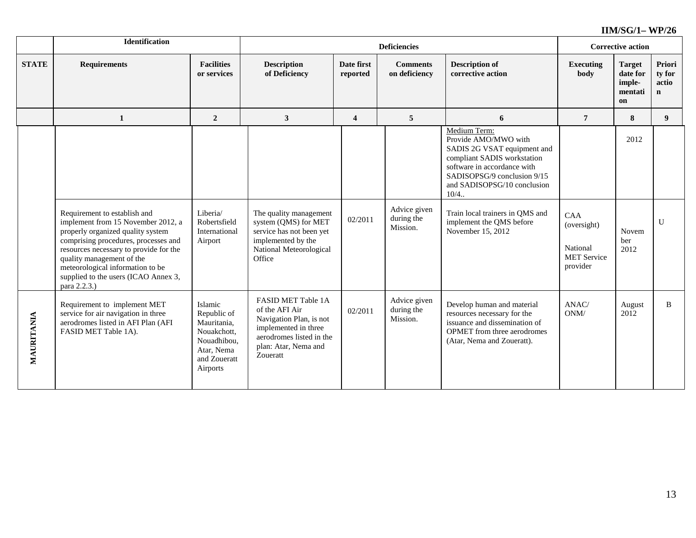|              | Identification                                                                                                                                                                                                                                             |                                                                                                               | <b>Deficiencies</b>                                                                                                                                     |                         |                                        |                                                                                                                                                                                                                                                                                              |                                                                  | <b>Corrective action</b>                             |                                          |  |
|--------------|------------------------------------------------------------------------------------------------------------------------------------------------------------------------------------------------------------------------------------------------------------|---------------------------------------------------------------------------------------------------------------|---------------------------------------------------------------------------------------------------------------------------------------------------------|-------------------------|----------------------------------------|----------------------------------------------------------------------------------------------------------------------------------------------------------------------------------------------------------------------------------------------------------------------------------------------|------------------------------------------------------------------|------------------------------------------------------|------------------------------------------|--|
| <b>STATE</b> | <b>Requirements</b>                                                                                                                                                                                                                                        | <b>Facilities</b><br>or services                                                                              | <b>Description</b><br>of Deficiency                                                                                                                     | Date first<br>reported  | <b>Comments</b><br>on deficiency       | <b>Description of</b><br>corrective action                                                                                                                                                                                                                                                   | <b>Executing</b><br>body                                         | <b>Target</b><br>date for<br>imple-<br>mentati<br>on | Priori<br>ty for<br>actio<br>$\mathbf n$ |  |
|              | $\mathbf{1}$                                                                                                                                                                                                                                               | $\overline{2}$                                                                                                | $\overline{\mathbf{3}}$                                                                                                                                 | $\overline{\mathbf{4}}$ | $\overline{5}$                         | 6                                                                                                                                                                                                                                                                                            | $\overline{7}$                                                   | 8                                                    | 9 <sup>°</sup>                           |  |
|              | Requirement to establish and<br>implement from 15 November 2012, a<br>properly organized quality system<br>comprising procedures, processes and<br>resources necessary to provide for the<br>quality management of the<br>meteorological information to be | Liberia/<br>Robertsfield<br>International<br>Airport                                                          | The quality management<br>system (QMS) for MET<br>service has not been yet<br>implemented by the<br>National Meteorological<br>Office                   | 02/2011                 | Advice given<br>during the<br>Mission. | Medium Term:<br>Provide AMO/MWO with<br>SADIS 2G VSAT equipment and<br>compliant SADIS workstation<br>software in accordance with<br>SADISOPSG/9 conclusion 9/15<br>and SADISOPSG/10 conclusion<br>10/4.<br>Train local trainers in QMS and<br>implement the QMS before<br>November 15, 2012 | CAA<br>(oversight)<br>National<br><b>MET Service</b><br>provider | 2012<br>Novem<br>ber<br>2012                         | $\mathbf{U}$                             |  |
|              | supplied to the users (ICAO Annex 3,<br>para 2.2.3.)                                                                                                                                                                                                       |                                                                                                               |                                                                                                                                                         |                         |                                        |                                                                                                                                                                                                                                                                                              |                                                                  |                                                      |                                          |  |
| MAURITANIA   | Requirement to implement MET<br>service for air navigation in three<br>aerodromes listed in AFI Plan (AFI<br>FASID MET Table 1A).                                                                                                                          | Islamic<br>Republic of<br>Mauritania,<br>Nouakchott,<br>Nouadhibou,<br>Atar, Nema<br>and Zoueratt<br>Airports | FASID MET Table 1A<br>of the AFI Air<br>Navigation Plan, is not<br>implemented in three<br>aerodromes listed in the<br>plan: Atar, Nema and<br>Zoueratt | 02/2011                 | Advice given<br>during the<br>Mission. | Develop human and material<br>resources necessary for the<br>issuance and dissemination of<br>OPMET from three aerodromes<br>(Atar, Nema and Zoueratt).                                                                                                                                      | ANAC/<br>ONM/                                                    | August<br>2012                                       | B                                        |  |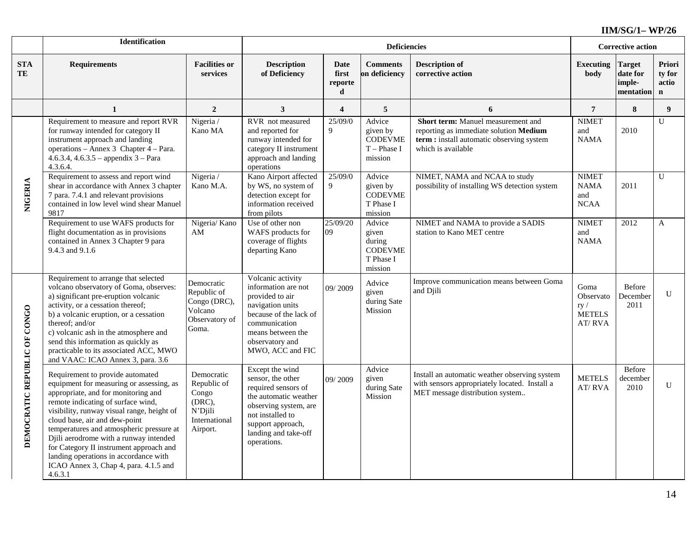|                                   | <b>Identification</b>                                                                                                                                                                                                                                                                                                                                                                                                                                                  |                                                                                      |                                                                                                                                                                                               | <b>Corrective action</b>             |                                                                     |                                                                                                                                                |                                                     |                                                  |                                           |
|-----------------------------------|------------------------------------------------------------------------------------------------------------------------------------------------------------------------------------------------------------------------------------------------------------------------------------------------------------------------------------------------------------------------------------------------------------------------------------------------------------------------|--------------------------------------------------------------------------------------|-----------------------------------------------------------------------------------------------------------------------------------------------------------------------------------------------|--------------------------------------|---------------------------------------------------------------------|------------------------------------------------------------------------------------------------------------------------------------------------|-----------------------------------------------------|--------------------------------------------------|-------------------------------------------|
| $\boldsymbol{\mathrm{STA}}$<br>TE | <b>Requirements</b>                                                                                                                                                                                                                                                                                                                                                                                                                                                    | <b>Facilities or</b><br>services                                                     | <b>Description</b><br>of Deficiency                                                                                                                                                           | <b>Date</b><br>first<br>reporte<br>d | <b>Comments</b><br>on deficiency                                    | <b>Description of</b><br>corrective action                                                                                                     | <b>Executing</b><br>body                            | <b>Target</b><br>date for<br>imple-<br>mentation | Priori<br>ty for<br>actio<br>$\mathbf{n}$ |
|                                   | 1                                                                                                                                                                                                                                                                                                                                                                                                                                                                      | $\overline{2}$                                                                       | $\mathbf{3}$                                                                                                                                                                                  | $\overline{\mathbf{4}}$              | 5                                                                   | 6                                                                                                                                              | $\overline{7}$                                      | 8                                                | 9 <sup>°</sup>                            |
| NIGERIA                           | Requirement to measure and report RVR<br>for runway intended for category II<br>instrument approach and landing<br>operations - Annex 3 Chapter 4 - Para.<br>4.6.3.4, 4.6.3.5 - appendix $3$ - Para<br>4.3.6.4.                                                                                                                                                                                                                                                        | Nigeria /<br>Kano MA                                                                 | RVR not measured<br>and reported for<br>runway intended for<br>category II instrument<br>approach and landing<br>operations                                                                   | 25/09/0<br>$\mathbf{Q}$              | Advice<br>given by<br><b>CODEVME</b><br>$T$ – Phase I<br>mission    | Short term: Manuel measurement and<br>reporting as immediate solution Medium<br>term: install automatic observing system<br>which is available | <b>NIMET</b><br>and<br><b>NAMA</b>                  | 2010                                             | U                                         |
|                                   | Requirement to assess and report wind<br>shear in accordance with Annex 3 chapter<br>7 para. 7.4.1 and relevant provisions<br>contained in low level wind shear Manuel<br>9817                                                                                                                                                                                                                                                                                         | Nigeria /<br>Kano M.A.                                                               | Kano Airport affected<br>by WS, no system of<br>detection except for<br>information received<br>from pilots                                                                                   | 25/09/0<br>9                         | Advice<br>given by<br><b>CODEVME</b><br>T Phase I<br>mission        | NIMET, NAMA and NCAA to study<br>possibility of installing WS detection system                                                                 | <b>NIMET</b><br><b>NAMA</b><br>and<br><b>NCAA</b>   | 2011                                             | $\overline{U}$                            |
|                                   | Requirement to use WAFS products for<br>flight documentation as in provisions<br>contained in Annex 3 Chapter 9 para<br>9.4.3 and 9.1.6                                                                                                                                                                                                                                                                                                                                | Nigeria/ Kano<br>AM                                                                  | Use of other non<br>WAFS products for<br>coverage of flights<br>departing Kano                                                                                                                | 25/09/20<br>09                       | Advice<br>given<br>during<br><b>CODEVME</b><br>T Phase I<br>mission | NIMET and NAMA to provide a SADIS<br>station to Kano MET centre                                                                                | <b>NIMET</b><br>and<br><b>NAMA</b>                  | 2012                                             | A                                         |
| DEMOCRATIC REPUBLIC OF CONGO      | Requirement to arrange that selected<br>volcano observatory of Goma, observes:<br>a) significant pre-eruption volcanic<br>activity, or a cessation thereof;<br>b) a volcanic eruption, or a cessation<br>thereof; and/or<br>c) volcanic ash in the atmosphere and<br>send this information as quickly as<br>practicable to its associated ACC, MWO<br>and VAAC: ICAO Annex 3, para. 3.6                                                                                | Democratic<br>Republic of<br>Congo (DRC),<br>Volcano<br>Observatory of<br>Goma.      | Volcanic activity<br>information are not<br>provided to air<br>navigation units<br>because of the lack of<br>communication<br>means between the<br>observatory and<br>MWO, ACC and FIC        | 09/2009                              | Advice<br>given<br>during Sate<br>Mission                           | Improve communication means between Goma<br>and Djili                                                                                          | Goma<br>Observato<br>ry/<br><b>METELS</b><br>AT/RVA | Before<br>December<br>2011                       | $\mathbf{U}$                              |
|                                   | Requirement to provide automated<br>equipment for measuring or assessing, as<br>appropriate, and for monitoring and<br>remote indicating of surface wind,<br>visibility, runway visual range, height of<br>cloud base, air and dew-point<br>temperatures and atmospheric pressure at<br>Djili aerodrome with a runway intended<br>for Category II instrument approach and<br>landing operations in accordance with<br>ICAO Annex 3, Chap 4, para. 4.1.5 and<br>4.6.3.1 | Democratic<br>Republic of<br>Congo<br>(DRC),<br>N'Djili<br>International<br>Airport. | Except the wind<br>sensor, the other<br>required sensors of<br>the automatic weather<br>observing system, are<br>not installed to<br>support approach,<br>landing and take-off<br>operations. | 09/2009                              | Advice<br>given<br>during Sate<br>Mission                           | Install an automatic weather observing system<br>with sensors appropriately located. Install a<br>MET message distribution system              | <b>METELS</b><br>AT/RVA                             | <b>Before</b><br>december<br>2010                | U                                         |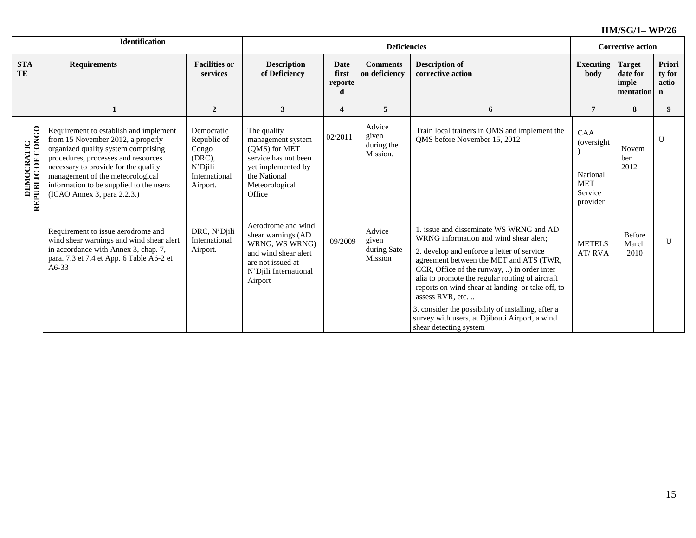|                                         | Identification                                                                                                                                                                                                                                                                                                  |                                                                                         | <b>Deficiencies</b>                                                                                                                         |                               |                                           |                                                                                                                                                                                                                                                                                                                                                                                                                                                                                        |                                                                     | <b>Corrective action</b>                         |                                          |  |
|-----------------------------------------|-----------------------------------------------------------------------------------------------------------------------------------------------------------------------------------------------------------------------------------------------------------------------------------------------------------------|-----------------------------------------------------------------------------------------|---------------------------------------------------------------------------------------------------------------------------------------------|-------------------------------|-------------------------------------------|----------------------------------------------------------------------------------------------------------------------------------------------------------------------------------------------------------------------------------------------------------------------------------------------------------------------------------------------------------------------------------------------------------------------------------------------------------------------------------------|---------------------------------------------------------------------|--------------------------------------------------|------------------------------------------|--|
| <b>STA</b><br>TE                        | <b>Requirements</b>                                                                                                                                                                                                                                                                                             | <b>Facilities or</b><br>services                                                        | <b>Description</b><br>of Deficiency                                                                                                         | Date<br>first<br>reporte<br>d | <b>Comments</b><br>on deficiency          | <b>Description of</b><br>corrective action                                                                                                                                                                                                                                                                                                                                                                                                                                             | <b>Executing</b><br>body                                            | <b>Target</b><br>date for<br>imple-<br>mentation | Priori<br>ty for<br>actio<br>$\mathbf n$ |  |
|                                         |                                                                                                                                                                                                                                                                                                                 | $\overline{2}$                                                                          | $\mathbf{3}$                                                                                                                                | $\overline{\mathbf{4}}$       | 5                                         | 6                                                                                                                                                                                                                                                                                                                                                                                                                                                                                      | 7                                                                   | 8                                                | 9                                        |  |
| <b>DEMOCRATIC<br/>REPUBLIC OF CONGO</b> | Requirement to establish and implement<br>from 15 November 2012, a properly<br>organized quality system comprising<br>procedures, processes and resources<br>necessary to provide for the quality<br>management of the meteorological<br>information to be supplied to the users<br>(ICAO Annex 3, para 2.2.3.) | Democratic<br>Republic of<br>Congo<br>(DRC),<br>$N'D$ iili<br>International<br>Airport. | The quality<br>management system<br>(OMS) for MET<br>service has not been<br>yet implemented by<br>the National<br>Meteorological<br>Office | 02/2011                       | Advice<br>given<br>during the<br>Mission. | Train local trainers in QMS and implement the<br>QMS before November 15, 2012                                                                                                                                                                                                                                                                                                                                                                                                          | CAA<br>(oversight)<br>National<br><b>MET</b><br>Service<br>provider | Novem<br>ber<br>2012                             | U                                        |  |
|                                         | Requirement to issue aerodrome and<br>wind shear warnings and wind shear alert<br>in accordance with Annex 3, chap. 7,<br>para. 7.3 et 7.4 et App. 6 Table A6-2 et<br>$A6-33$                                                                                                                                   | DRC, N'Djili<br>International<br>Airport.                                               | Aerodrome and wind<br>shear warnings (AD<br>WRNG, WS WRNG)<br>and wind shear alert<br>are not issued at<br>N'Djili International<br>Airport | 09/2009                       | Advice<br>given<br>during Sate<br>Mission | 1. issue and disseminate WS WRNG and AD<br>WRNG information and wind shear alert;<br>2. develop and enforce a letter of service<br>agreement between the MET and ATS (TWR,<br>CCR, Office of the runway, ) in order inter<br>alia to promote the regular routing of aircraft<br>reports on wind shear at landing or take off, to<br>assess RVR, etc.<br>3. consider the possibility of installing, after a<br>survey with users, at Djibouti Airport, a wind<br>shear detecting system | <b>METELS</b><br>AT/RVA                                             | <b>Before</b><br>March<br>2010                   | U                                        |  |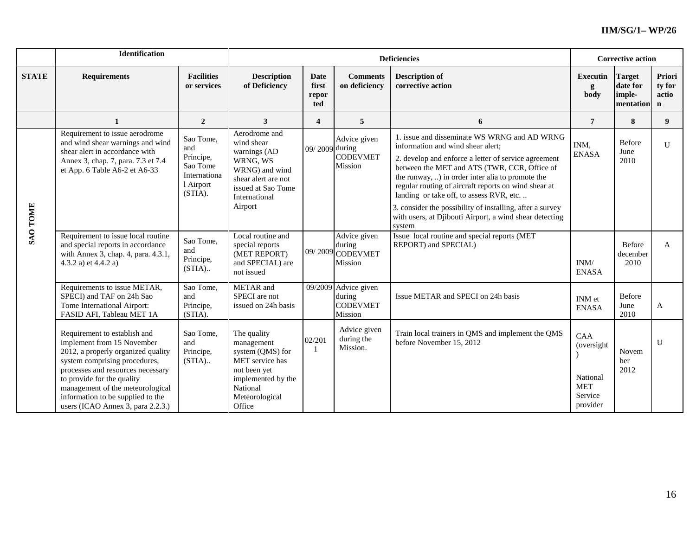|                 | <b>Identification</b>                                                                                                                                                                                                                                                                                              |                                           | <b>Deficiencies</b>                                                                                                                                |                               |                                                              |                                                                                                                                                                                                                                                                                                                                                                                                                                                                           |                                                                    | <b>Corrective action</b>                  |                                          |  |
|-----------------|--------------------------------------------------------------------------------------------------------------------------------------------------------------------------------------------------------------------------------------------------------------------------------------------------------------------|-------------------------------------------|----------------------------------------------------------------------------------------------------------------------------------------------------|-------------------------------|--------------------------------------------------------------|---------------------------------------------------------------------------------------------------------------------------------------------------------------------------------------------------------------------------------------------------------------------------------------------------------------------------------------------------------------------------------------------------------------------------------------------------------------------------|--------------------------------------------------------------------|-------------------------------------------|------------------------------------------|--|
| <b>STATE</b>    | <b>Facilities</b><br><b>Requirements</b><br>or services                                                                                                                                                                                                                                                            |                                           | <b>Description</b><br>of Deficiency                                                                                                                | Date<br>first<br>repor<br>ted | <b>Comments</b><br>on deficiency                             | <b>Description of</b><br>corrective action                                                                                                                                                                                                                                                                                                                                                                                                                                | <b>Executin</b><br>g<br>body                                       | Target<br>date for<br>imple-<br>mentation | Priori<br>ty for<br>actio<br>$\mathbf n$ |  |
|                 | 1                                                                                                                                                                                                                                                                                                                  | $\overline{2}$                            | 3                                                                                                                                                  | $\overline{\mathbf{4}}$       | 5                                                            | 6                                                                                                                                                                                                                                                                                                                                                                                                                                                                         | $\overline{7}$                                                     | 8                                         | 9                                        |  |
| <b>SAO TOME</b> | Requirement to issue aerodrome<br>Sao Tome,<br>and wind shear warnings and wind<br>and<br>shear alert in accordance with<br>Principe,<br>Annex 3, chap. 7, para. 7.3 et 7.4<br>Sao Tome<br>et App. 6 Table A6-2 et A6-33<br>Internationa<br>l Airport<br>(STIA).                                                   |                                           | Aerodrome and<br>wind shear<br>warnings (AD<br>WRNG, WS<br>WRNG) and wind<br>shear alert are not<br>issued at Sao Tome<br>International<br>Airport | 09/2009 during                | Advice given<br><b>CODEVMET</b><br>Mission                   | 1. issue and disseminate WS WRNG and AD WRNG<br>information and wind shear alert;<br>2. develop and enforce a letter of service agreement<br>between the MET and ATS (TWR, CCR, Office of<br>the runway, ) in order inter alia to promote the<br>regular routing of aircraft reports on wind shear at<br>landing or take off, to assess RVR, etc.<br>3. consider the possibility of installing, after a survey<br>with users, at Djibouti Airport, a wind shear detecting | INM.<br><b>ENASA</b>                                               | Before<br>June<br>2010                    | U                                        |  |
|                 | Requirement to issue local routine<br>and special reports in accordance<br>with Annex 3, chap. 4, para. 4.3.1,<br>4.3.2 a) et $4.4.2$ a)                                                                                                                                                                           | Sao Tome,<br>and<br>Principe,<br>$(STIA)$ | Local routine and<br>special reports<br>(MET REPORT)<br>and SPECIAL) are<br>not issued                                                             |                               | Advice given<br>during<br>09/2009 CODEVMET<br>Mission        | system<br>Issue local routine and special reports (MET<br>REPORT) and SPECIAL)                                                                                                                                                                                                                                                                                                                                                                                            | INM/<br><b>ENASA</b>                                               | Before<br>december<br>2010                | A                                        |  |
|                 | Requirements to issue METAR,<br>SPECI) and TAF on 24h Sao<br>Tome International Airport:<br>FASID AFI, Tableau MET 1A                                                                                                                                                                                              | Sao Tome,<br>and<br>Principe,<br>(STIA).  | METAR and<br>SPECI are not<br>issued on 24h basis                                                                                                  |                               | 09/2009 Advice given<br>during<br><b>CODEVMET</b><br>Mission | Issue METAR and SPECI on 24h basis                                                                                                                                                                                                                                                                                                                                                                                                                                        | INM et<br><b>ENASA</b>                                             | Before<br>June<br>2010                    | A                                        |  |
|                 | Requirement to establish and<br>implement from 15 November<br>2012, a properly organized quality<br>system comprising procedures,<br>processes and resources necessary<br>to provide for the quality<br>management of the meteorological<br>information to be supplied to the<br>users (ICAO Annex 3, para 2.2.3.) | Sao Tome,<br>and<br>Principe,<br>$(STIA)$ | The quality<br>management<br>system (QMS) for<br>MET service has<br>not been yet<br>implemented by the<br>National<br>Meteorological<br>Office     | 02/201                        | Advice given<br>during the<br>Mission.                       | Train local trainers in QMS and implement the QMS<br>before November 15, 2012                                                                                                                                                                                                                                                                                                                                                                                             | CAA<br>(oversight<br>National<br><b>MET</b><br>Service<br>provider | Novem<br>ber<br>2012                      | $\mathbf{U}$                             |  |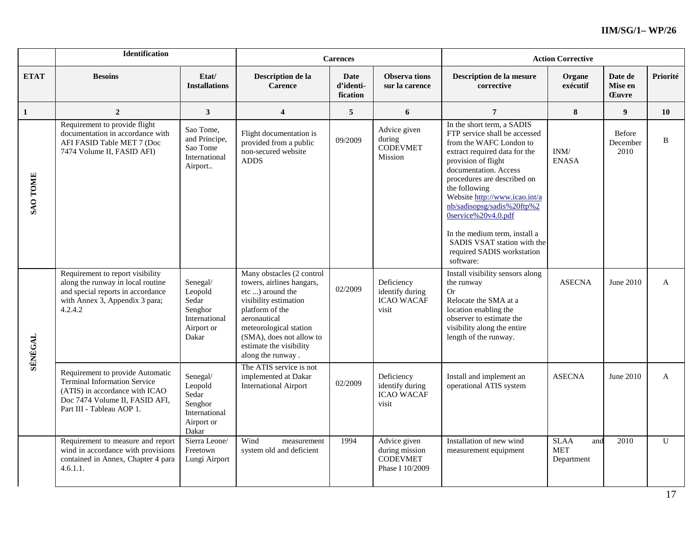|                 | <b>Identification</b>                                                                                                                                                    |                                                                                 |                                                                                                                                                                                                                                              | <b>Carences</b>                      |                                                                      | <b>Action Corrective</b>                                                                                                                                                                                                                                                                                                                                                                                                 |                                                |                                    |          |
|-----------------|--------------------------------------------------------------------------------------------------------------------------------------------------------------------------|---------------------------------------------------------------------------------|----------------------------------------------------------------------------------------------------------------------------------------------------------------------------------------------------------------------------------------------|--------------------------------------|----------------------------------------------------------------------|--------------------------------------------------------------------------------------------------------------------------------------------------------------------------------------------------------------------------------------------------------------------------------------------------------------------------------------------------------------------------------------------------------------------------|------------------------------------------------|------------------------------------|----------|
| <b>ETAT</b>     | <b>Besoins</b>                                                                                                                                                           | Etat/<br><b>Installations</b>                                                   | Description de la<br><b>Carence</b>                                                                                                                                                                                                          | <b>Date</b><br>d'identi-<br>fication | <b>Observa tions</b><br>sur la carence                               | Description de la mesure<br>corrective                                                                                                                                                                                                                                                                                                                                                                                   | Organe<br>exécutif                             | Date de<br>Mise en<br><b>Euvre</b> | Priorité |
| 1               | $\overline{2}$                                                                                                                                                           | $\mathbf{3}$                                                                    | $\overline{\mathbf{4}}$                                                                                                                                                                                                                      | 5                                    | 6                                                                    | $\overline{7}$                                                                                                                                                                                                                                                                                                                                                                                                           | 8                                              | $\boldsymbol{9}$                   | 10       |
| <b>SAO TOME</b> | Requirement to provide flight<br>documentation in accordance with<br>AFI FASID Table MET 7 (Doc<br>7474 Volume II, FASID AFI)                                            | Sao Tome,<br>and Principe,<br>Sao Tome<br>International<br>Airport              | Flight documentation is<br>provided from a public<br>non-secured website<br><b>ADDS</b>                                                                                                                                                      | 09/2009                              | Advice given<br>during<br><b>CODEVMET</b><br>Mission                 | In the short term, a SADIS<br>FTP service shall be accessed<br>from the WAFC London to<br>extract required data for the<br>provision of flight<br>documentation. Access<br>procedures are described on<br>the following<br>Website http://www.icao.int/a<br>nb/sadisopsg/sadis%20ftp%2<br>0service%20v4.0.pdf<br>In the medium term, install a<br>SADIS VSAT station with the<br>required SADIS workstation<br>software: | $\text{INM}/\text{}$<br><b>ENASA</b>           | <b>Before</b><br>December<br>2010  | B        |
| <b>SÉNÉGAL</b>  | Requirement to report visibility<br>along the runway in local routine<br>and special reports in accordance<br>with Annex 3, Appendix 3 para;<br>4.2.4.2                  | Senegal/<br>Leopold<br>Sedar<br>Senghor<br>International<br>Airport or<br>Dakar | Many obstacles (2 control<br>towers, airlines hangars,<br>etc ) around the<br>visibility estimation<br>platform of the<br>aeronautical<br>meteorological station<br>(SMA), does not allow to<br>estimate the visibility<br>along the runway. | 02/2009                              | Deficiency<br>identify during<br><b>ICAO WACAF</b><br>visit          | Install visibility sensors along<br>the runway<br><b>Or</b><br>Relocate the SMA at a<br>location enabling the<br>observer to estimate the<br>visibility along the entire<br>length of the runway.                                                                                                                                                                                                                        | <b>ASECNA</b>                                  | June 2010                          | A        |
|                 | Requirement to provide Automatic<br><b>Terminal Information Service</b><br>(ATIS) in accordance with ICAO<br>Doc 7474 Volume II, FASID AFI,<br>Part III - Tableau AOP 1. | Senegal/<br>Leopold<br>Sedar<br>Senghor<br>International<br>Airport or<br>Dakar | The ATIS service is not<br>implemented at Dakar<br><b>International Airport</b>                                                                                                                                                              | 02/2009                              | Deficiency<br>identify during<br><b>ICAO WACAF</b><br>visit          | Install and implement an<br>operational ATIS system                                                                                                                                                                                                                                                                                                                                                                      | <b>ASECNA</b>                                  | June 2010                          | A        |
|                 | Requirement to measure and report<br>wind in accordance with provisions<br>contained in Annex, Chapter 4 para<br>4.6.1.1.                                                | Sierra Leone/<br>Freetown<br>Lungi Airport                                      | Wind<br>measurement<br>system old and deficient                                                                                                                                                                                              | 1994                                 | Advice given<br>during mission<br><b>CODEVMET</b><br>Phase I 10/2009 | Installation of new wind<br>measurement equipment                                                                                                                                                                                                                                                                                                                                                                        | <b>SLAA</b><br>and<br><b>MET</b><br>Department | 2010                               | U        |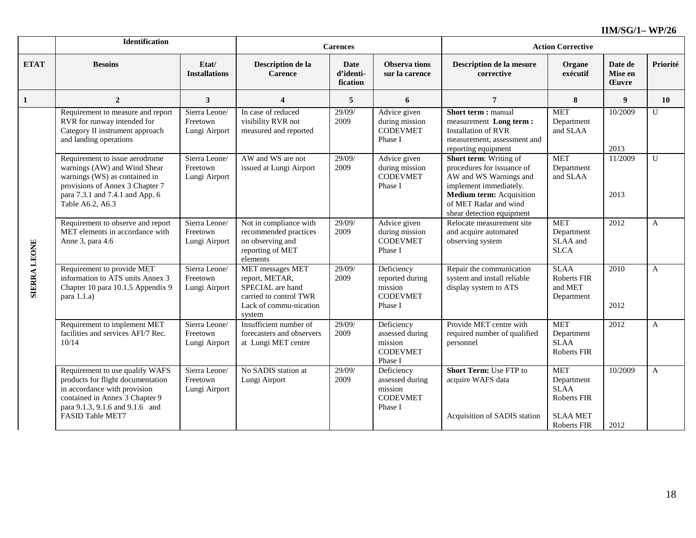|                     | <b>Identification</b>                                                                                                                                                                         |                                            |                                                                                                                      | <b>Carences</b>               |                                                                        | <b>Action Corrective</b>                                                                                                                                                                   |                                                                                          |                                    |                |
|---------------------|-----------------------------------------------------------------------------------------------------------------------------------------------------------------------------------------------|--------------------------------------------|----------------------------------------------------------------------------------------------------------------------|-------------------------------|------------------------------------------------------------------------|--------------------------------------------------------------------------------------------------------------------------------------------------------------------------------------------|------------------------------------------------------------------------------------------|------------------------------------|----------------|
| <b>ETAT</b>         | <b>Besoins</b>                                                                                                                                                                                | Etat/<br><b>Installations</b>              | Description de la<br><b>Carence</b>                                                                                  | Date<br>d'identi-<br>fication | <b>Observa tions</b><br>sur la carence                                 | Description de la mesure<br>corrective                                                                                                                                                     | Organe<br>exécutif                                                                       | Date de<br>Mise en<br><b>Cuvre</b> | Priorité       |
| $\mathbf{1}$        | $\overline{2}$                                                                                                                                                                                | $\mathbf{3}$                               | 4                                                                                                                    | 5                             | 6                                                                      | $\overline{7}$                                                                                                                                                                             | 8                                                                                        | 9                                  | 10             |
|                     | Requirement to measure and report<br>RVR for runway intended for<br>Category II instrument approach<br>and landing operations                                                                 | Sierra Leone/<br>Freetown<br>Lungi Airport | In case of reduced<br>visibility RVR not<br>measured and reported                                                    | 29/09/<br>2009                | Advice given<br>during mission<br><b>CODEVMET</b><br>Phase I           | Short term: manual<br>measurement Long term:<br><b>Installation of RVR</b><br>measurement, assessment and<br>reporting equipment                                                           | <b>MET</b><br>Department<br>and SLAA                                                     | 10/2009<br>2013                    | U              |
|                     | Requirement to issue aerodrome<br>warnings (AW) and Wind Shear<br>warnings (WS) as contained in<br>provisions of Annex 3 Chapter 7<br>para 7.3.1 and 7.4.1 and App. 6<br>Table A6.2, A6.3     | Sierra Leone/<br>Freetown<br>Lungi Airport | AW and WS are not<br>issued at Lungi Airport                                                                         | 29/09/<br>2009                | Advice given<br>during mission<br><b>CODEVMET</b><br>Phase I           | Short term: Writing of<br>procedures for issuance of<br>AW and WS Warnings and<br>implement immediately.<br>Medium term: Acquisition<br>of MET Radar and wind<br>shear detection equipment | <b>MET</b><br>Department<br>and SLAA                                                     | 11/2009<br>2013                    | $\mathbf{U}$   |
|                     | Requirement to observe and report<br>MET elements in accordance with<br>Anne 3, para 4.6                                                                                                      | Sierra Leone/<br>Freetown<br>Lungi Airport | Not in compliance with<br>recommended practices<br>on observing and<br>reporting of MET<br>elements                  | 29/09/<br>2009                | Advice given<br>during mission<br><b>CODEVMET</b><br>Phase I           | Relocate measurement site<br>and acquire automated<br>observing system                                                                                                                     | <b>MET</b><br>Department<br>SLAA and<br><b>SLCA</b>                                      | 2012                               | $\overline{A}$ |
| <b>SIERRA LEONE</b> | Requirement to provide MET<br>information to ATS units Annex 3<br>Chapter 10 para 10.1.5 Appendix 9<br>para $1.1.a$ )                                                                         | Sierra Leone/<br>Freetown<br>Lungi Airport | MET messages MET<br>report, METAR,<br>SPECIAL are hand<br>carried to control TWR<br>Lack of commu-nication<br>system | 29/09/<br>2009                | Deficiency<br>reported during<br>mission<br><b>CODEVMET</b><br>Phase I | Repair the communication<br>system and install reliable<br>display system to ATS                                                                                                           | <b>SLAA</b><br>Roberts FIR<br>and MET<br>Department                                      | 2010<br>2012                       | A              |
|                     | Requirement to implement MET<br>facilities and services AFI/7 Rec.<br>10/14                                                                                                                   | Sierra Leone/<br>Freetown<br>Lungi Airport | Insufficient number of<br>forecasters and observers<br>at Lungi MET centre                                           | 29/09/<br>2009                | Deficiency<br>assessed during<br>mission<br><b>CODEVMET</b><br>Phase I | Provide MET centre with<br>required number of qualified<br>personnel                                                                                                                       | <b>MET</b><br>Department<br><b>SLAA</b><br><b>Roberts FIR</b>                            | 2012                               | $\mathbf{A}$   |
|                     | Requirement to use qualify WAFS<br>products for flight documentation<br>in accordance with provision<br>contained in Annex 3 Chapter 9<br>para 9.1.3, 9.1.6 and 9.1.6 and<br>FASID Table MET7 | Sierra Leone/<br>Freetown<br>Lungi Airport | No SADIS station at<br>Lungi Airport                                                                                 | 29/09/<br>2009                | Deficiency<br>assessed during<br>mission<br><b>CODEVMET</b><br>Phase I | <b>Short Term: Use FTP to</b><br>acquire WAFS data<br>Acquisition of SADIS station                                                                                                         | <b>MET</b><br>Department<br><b>SLAA</b><br>Roberts FIR<br><b>SLAA MET</b><br>Roberts FIR | 10/2009<br>2012                    | $\mathbf{A}$   |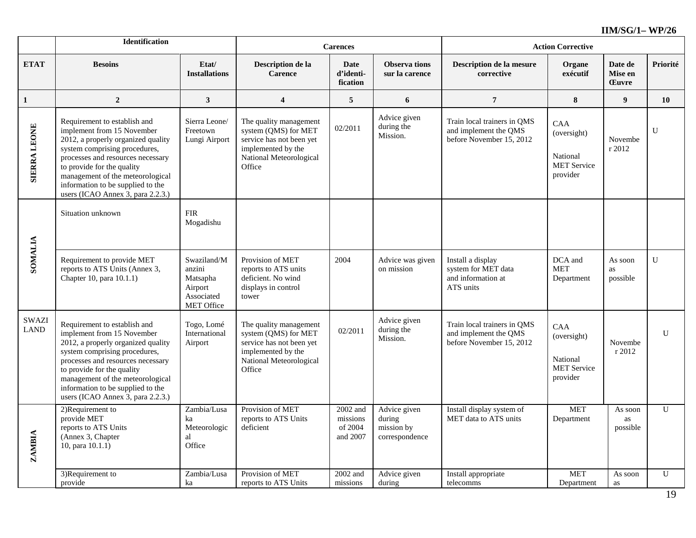|                             | <b>Identification</b>                                                                                                                                                                                                                                                                                              |                                                                                 |                                                                                                                                       | <b>Carences</b>                             |                                                        | <b>Action Corrective</b>                                                         |                                                                  |                                    |                |
|-----------------------------|--------------------------------------------------------------------------------------------------------------------------------------------------------------------------------------------------------------------------------------------------------------------------------------------------------------------|---------------------------------------------------------------------------------|---------------------------------------------------------------------------------------------------------------------------------------|---------------------------------------------|--------------------------------------------------------|----------------------------------------------------------------------------------|------------------------------------------------------------------|------------------------------------|----------------|
| <b>ETAT</b>                 | <b>Besoins</b>                                                                                                                                                                                                                                                                                                     | Etat/<br><b>Installations</b>                                                   | Description de la<br><b>Carence</b>                                                                                                   | <b>Date</b><br>d'identi-<br>fication        | <b>Observa tions</b><br>sur la carence                 | Description de la mesure<br>corrective                                           | Organe<br>exécutif                                               | Date de<br>Mise en<br><b>Euvre</b> | Priorité       |
| $\mathbf{1}$                | $\boldsymbol{2}$                                                                                                                                                                                                                                                                                                   | $\mathbf{3}$                                                                    | $\boldsymbol{4}$                                                                                                                      | 5                                           | 6                                                      | $\boldsymbol{7}$                                                                 | 8                                                                | 9                                  | 10             |
| <b>SIERRA LEONE</b>         | Requirement to establish and<br>implement from 15 November<br>2012, a properly organized quality<br>system comprising procedures,<br>processes and resources necessary<br>to provide for the quality<br>management of the meteorological<br>information to be supplied to the<br>users (ICAO Annex 3, para 2.2.3.) | Sierra Leone/<br>Freetown<br>Lungi Airport                                      | The quality management<br>system (QMS) for MET<br>service has not been yet<br>implemented by the<br>National Meteorological<br>Office | 02/2011                                     | Advice given<br>during the<br>Mission.                 | Train local trainers in QMS<br>and implement the QMS<br>before November 15, 2012 | CAA<br>(oversight)<br>National<br><b>MET Service</b><br>provider | Novembe<br>r 2012                  | U              |
|                             | Situation unknown                                                                                                                                                                                                                                                                                                  | <b>FIR</b><br>Mogadishu                                                         |                                                                                                                                       |                                             |                                                        |                                                                                  |                                                                  |                                    |                |
| <b>SOMALIA</b>              | Requirement to provide MET<br>reports to ATS Units (Annex 3,<br>Chapter 10, para 10.1.1)                                                                                                                                                                                                                           | Swaziland/M<br>anzini<br>Matsapha<br>Airport<br>Associated<br><b>MET Office</b> | Provision of MET<br>reports to ATS units<br>deficient. No wind<br>displays in control<br>tower                                        | 2004                                        | Advice was given<br>on mission                         | Install a display<br>system for MET data<br>and information at<br>ATS units      | DCA and<br><b>MET</b><br>Department                              | As soon<br>as<br>possible          | $\overline{U}$ |
| <b>SWAZI</b><br><b>LAND</b> | Requirement to establish and<br>implement from 15 November<br>2012, a properly organized quality<br>system comprising procedures,<br>processes and resources necessary<br>to provide for the quality<br>management of the meteorological<br>information to be supplied to the<br>users (ICAO Annex 3, para 2.2.3.) | Togo, Lomé<br>International<br>Airport                                          | The quality management<br>system (QMS) for MET<br>service has not been yet<br>implemented by the<br>National Meteorological<br>Office | 02/2011                                     | Advice given<br>during the<br>Mission.                 | Train local trainers in QMS<br>and implement the QMS<br>before November 15, 2012 | CAA<br>(oversight)<br>National<br><b>MET Service</b><br>provider | Novembe<br>r 2012                  | $\mathbf U$    |
| <b>ZAMBIA</b>               | 2)Requirement to<br>provide MET<br>reports to ATS Units<br>(Annex 3, Chapter<br>10, para $10.1.\overline{1}$                                                                                                                                                                                                       | Zambia/Lusa<br>ka<br>Meteorologic<br>al<br>Office                               | Provision of MET<br>reports to ATS Units<br>deficient                                                                                 | 2002 and<br>missions<br>of 2004<br>and 2007 | Advice given<br>during<br>mission by<br>correspondence | Install display system of<br>MET data to ATS units                               | <b>MET</b><br>Department                                         | As soon<br>as<br>possible          | $\mathbf{U}$   |
|                             | 3) Requirement to<br>provide                                                                                                                                                                                                                                                                                       | Zambia/Lusa<br>ka                                                               | Provision of MET<br>reports to ATS Units                                                                                              | 2002 and<br>missions                        | Advice given<br>during                                 | Install appropriate<br>telecomms                                                 | <b>MET</b><br>Department                                         | As soon<br>as                      | $\mathbf{U}$   |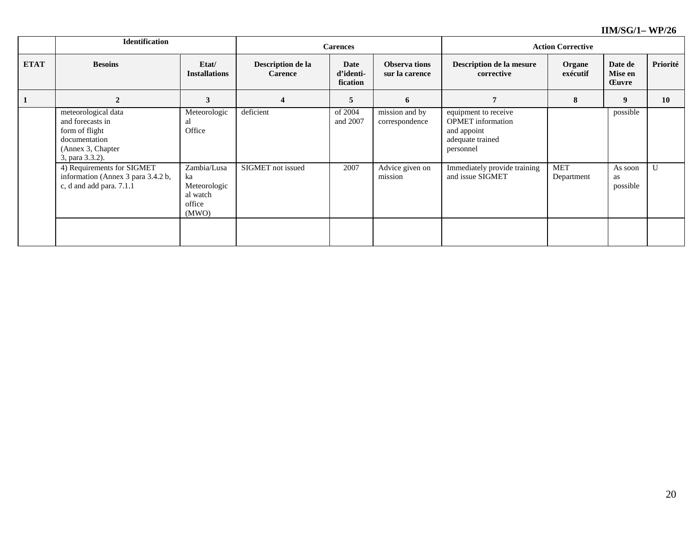|             | <b>Identification</b>                                                                                              |                                                                  |                                     | <b>Carences</b>               |                                       | <b>Action Corrective</b>                                                                         |                          |                                    |           |
|-------------|--------------------------------------------------------------------------------------------------------------------|------------------------------------------------------------------|-------------------------------------|-------------------------------|---------------------------------------|--------------------------------------------------------------------------------------------------|--------------------------|------------------------------------|-----------|
| <b>ETAT</b> | <b>Besoins</b>                                                                                                     | Etat/<br><b>Installations</b>                                    | Description de la<br><b>Carence</b> | Date<br>d'identi-<br>fication | <b>Observations</b><br>sur la carence | Description de la mesure<br>corrective                                                           | Organe<br>exécutif       | Date de<br>Mise en<br><b>Euvre</b> | Priorité  |
|             | $\boldsymbol{2}$                                                                                                   | 3                                                                | $\overline{\mathbf{4}}$             | 5                             | 6                                     |                                                                                                  | 8                        | 9                                  | <b>10</b> |
|             | meteorological data<br>and forecasts in<br>form of flight<br>documentation<br>(Annex 3, Chapter<br>3, para 3.3.2). | Meteorologic<br>al<br>Office                                     | deficient                           | of 2004<br>and 2007           | mission and by<br>correspondence      | equipment to receive<br><b>OPMET</b> information<br>and appoint<br>adequate trained<br>personnel |                          | possible                           |           |
|             | 4) Requirements for SIGMET<br>information (Annex 3 para 3.4.2 b,<br>c, d and add para. 7.1.1                       | Zambia/Lusa<br>ka<br>Meteorologic<br>al watch<br>office<br>(MWO) | SIGMET not issued                   | 2007                          | Advice given on<br>mission            | Immediately provide training<br>and issue SIGMET                                                 | <b>MET</b><br>Department | As soon<br>as<br>possible          | U         |
|             |                                                                                                                    |                                                                  |                                     |                               |                                       |                                                                                                  |                          |                                    |           |